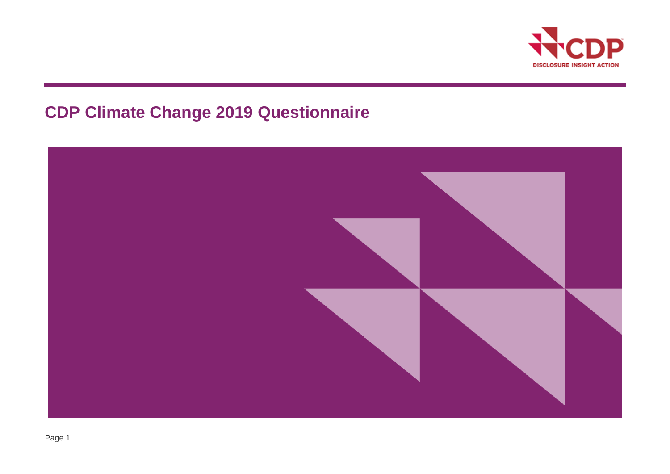

# **CDP Climate Change 2019 Questionnaire**

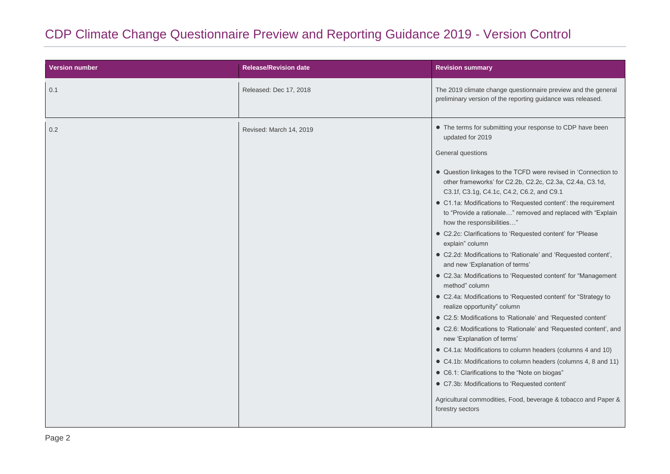# CDP Climate Change Questionnaire Preview and Reporting Guidance 2019 - Version Control

| <b>Version number</b> | <b>Release/Revision date</b> | <b>Revision summary</b>                                                                                                                                                 |
|-----------------------|------------------------------|-------------------------------------------------------------------------------------------------------------------------------------------------------------------------|
| 0.1                   | Released: Dec 17, 2018       | The 2019 climate change questionnaire preview and the general<br>preliminary version of the reporting guidance was released.                                            |
| 0.2                   | Revised: March 14, 2019      | • The terms for submitting your response to CDP have been<br>updated for 2019<br>General questions                                                                      |
|                       |                              | • Question linkages to the TCFD were revised in 'Connection to<br>other frameworks' for C2.2b, C2.2c, C2.3a, C2.4a, C3.1d,<br>C3.1f, C3.1g, C4.1c, C4.2, C6.2, and C9.1 |
|                       |                              | • C1.1a: Modifications to 'Requested content': the requirement<br>to "Provide a rationale" removed and replaced with "Explain<br>how the responsibilities"              |
|                       |                              | • C2.2c: Clarifications to 'Requested content' for "Please<br>explain" column                                                                                           |
|                       |                              | · C2.2d: Modifications to 'Rationale' and 'Requested content',<br>and new 'Explanation of terms'                                                                        |
|                       |                              | • C2.3a: Modifications to 'Requested content' for "Management<br>method" column                                                                                         |
|                       |                              | • C2.4a: Modifications to 'Requested content' for "Strategy to<br>realize opportunity" column                                                                           |
|                       |                              | • C2.5: Modifications to 'Rationale' and 'Requested content'                                                                                                            |
|                       |                              | • C2.6: Modifications to 'Rationale' and 'Requested content', and<br>new 'Explanation of terms'                                                                         |
|                       |                              | • C4.1a: Modifications to column headers (columns 4 and 10)                                                                                                             |
|                       |                              | • C4.1b: Modifications to column headers (columns 4, 8 and 11)                                                                                                          |
|                       |                              | • C6.1: Clarifications to the "Note on biogas"                                                                                                                          |
|                       |                              | • C7.3b: Modifications to 'Requested content'                                                                                                                           |
|                       |                              | Agricultural commodities, Food, beverage & tobacco and Paper &<br>forestry sectors                                                                                      |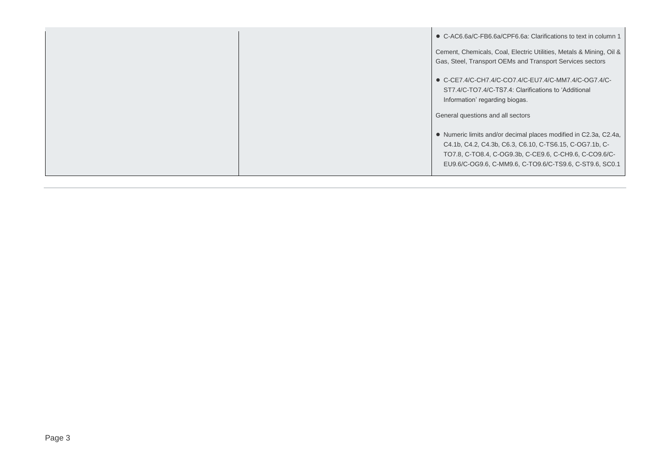|  | • C-AC6.6a/C-FB6.6a/CPF6.6a: Clarifications to text in column 1                                                                                                                                                                                  |
|--|--------------------------------------------------------------------------------------------------------------------------------------------------------------------------------------------------------------------------------------------------|
|  | Cement, Chemicals, Coal, Electric Utilities, Metals & Mining, Oil &<br>Gas, Steel, Transport OEMs and Transport Services sectors                                                                                                                 |
|  | $\bullet$ C-CE7.4/C-CH7.4/C-CO7.4/C-EU7.4/C-MM7.4/C-OG7.4/C-<br>ST7.4/C-TO7.4/C-TS7.4: Clarifications to 'Additional<br>Information' regarding biogas.                                                                                           |
|  | General questions and all sectors                                                                                                                                                                                                                |
|  | • Numeric limits and/or decimal places modified in C2.3a, C2.4a,<br>C4.1b, C4.2, C4.3b, C6.3, C6.10, C-TS6.15, C-OG7.1b, C-<br>TO7.8, C-TO8.4, C-OG9.3b, C-CE9.6, C-CH9.6, C-CO9.6/C-<br>EU9.6/C-OG9.6, C-MM9.6, C-TO9.6/C-TS9.6, C-ST9.6, SC0.1 |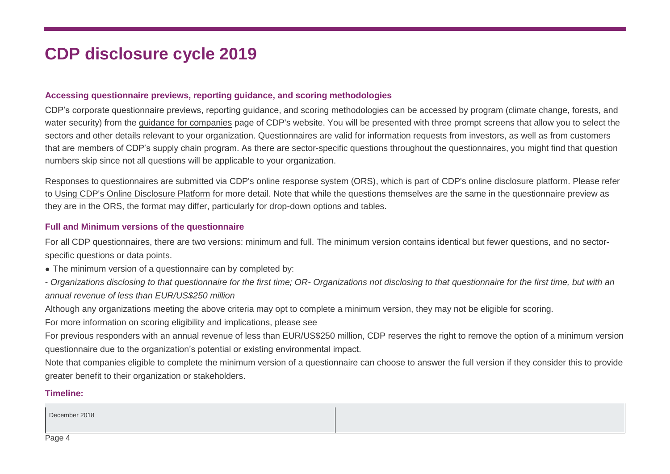# **CDP disclosure cycle 2019**

#### **Accessing questionnaire previews, reporting guidance, and scoring methodologies**

CDP's corporate questionnaire previews, reporting guidance, and scoring methodologies can be accessed by program (climate change, forests, and water security) from the [guidance for companies](https://www.cdp.net/en/guidance/guidance-for-companies) page of CDP's website. You will be presented with three prompt screens that allow you to select the sectors and other details relevant to your organization. Questionnaires are valid for information requests from investors, as well as from customers that are members of CDP's supply chain program. As there are sector-specific questions throughout the questionnaires, you might find that question numbers skip since not all questions will be applicable to your organization.

Responses to questionnaires are submitted via CDP's online response system (ORS), which is part of CDP's online disclosure platform. Please refer to [Using CDP's Online Disclosure Platform](http://b8f65cb373b1b7b15feb-c70d8ead6ced550b4d987d7c03fcdd1d.r81.cf3.rackcdn.com/cms/guidance_docs/pdfs/000/001/573/original/CDP-disclosure-platform-guide.pdf?1524239399) for more detail. Note that while the questions themselves are the same in the questionnaire preview as they are in the ORS, the format may differ, particularly for drop-down options and tables.

#### **Full and Minimum versions of the questionnaire**

For all CDP questionnaires, there are two versions: minimum and full. The minimum version contains identical but fewer questions, and no sectorspecific questions or data points.

- The minimum version of a questionnaire can by completed by:
- *Organizations disclosing to that questionnaire for the first time; OR- Organizations not disclosing to that questionnaire for the first time, but with an annual revenue of less than EUR/US\$250 million*

Although any organizations meeting the above criteria may opt to complete a minimum version, they may not be eligible for scoring.

For more information on scoring eligibility and implications, please see

For previous responders with an annual revenue of less than EUR/US\$250 million, CDP reserves the right to remove the option of a minimum version questionnaire due to the organization's potential or existing environmental impact.

Note that companies eligible to complete the minimum version of a questionnaire can choose to answer the full version if they consider this to provide greater benefit to their organization or stakeholders.

#### **Timeline:**

December 2018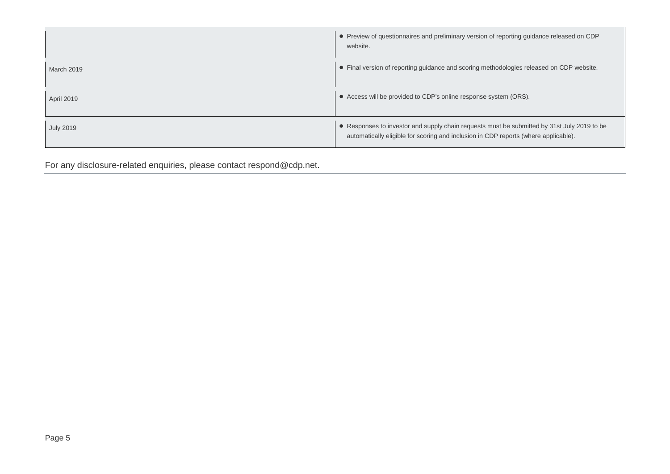|                   | • Preview of questionnaires and preliminary version of reporting guidance released on CDP<br>website.                                                                              |
|-------------------|------------------------------------------------------------------------------------------------------------------------------------------------------------------------------------|
| <b>March 2019</b> | • Final version of reporting guidance and scoring methodologies released on CDP website.                                                                                           |
| April 2019        | • Access will be provided to CDP's online response system (ORS).                                                                                                                   |
| <b>July 2019</b>  | • Responses to investor and supply chain requests must be submitted by 31st July 2019 to be<br>automatically eligible for scoring and inclusion in CDP reports (where applicable). |

For any disclosure-related enquiries, please contact respond@cdp.net.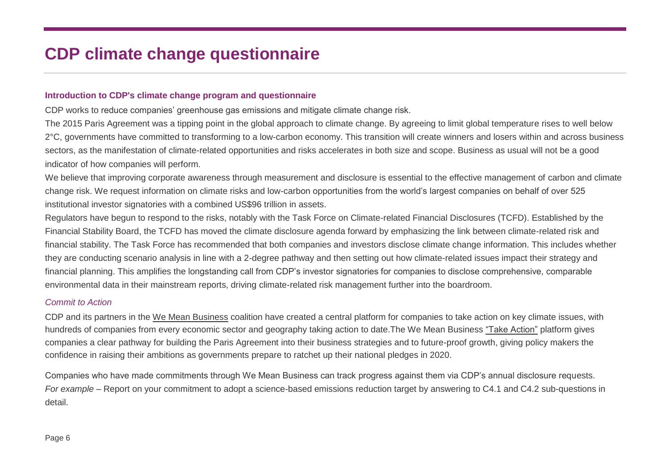# **CDP climate change questionnaire**

#### **Introduction to CDP's climate change program and questionnaire**

CDP works to reduce companies' greenhouse gas emissions and mitigate climate change risk.

The 2015 Paris Agreement was a tipping point in the global approach to climate change. By agreeing to limit global temperature rises to well below 2°C, governments have committed to transforming to a low-carbon economy. This transition will create winners and losers within and across business sectors, as the manifestation of climate-related opportunities and risks accelerates in both size and scope. Business as usual will not be a good indicator of how companies will perform.

We believe that improving corporate awareness through measurement and disclosure is essential to the effective management of carbon and climate change risk. We request information on climate risks and low-carbon opportunities from the world's largest companies on behalf of over 525 institutional investor signatories with a combined US\$96 trillion in assets.

Regulators have begun to respond to the risks, notably with the Task Force on Climate-related Financial Disclosures (TCFD). Established by the Financial Stability Board, the TCFD has moved the climate disclosure agenda forward by emphasizing the link between climate-related risk and financial stability. The Task Force has recommended that both companies and investors disclose climate change information. This includes whether they are conducting scenario analysis in line with a 2-degree pathway and then setting out how climate-related issues impact their strategy and financial planning. This amplifies the longstanding call from CDP's investor signatories for companies to disclose comprehensive, comparable environmental data in their mainstream reports, driving climate-related risk management further into the boardroom.

#### *Commit to Action*

CDP and its partners in the [We Mean Business](https://www.wemeanbusinesscoalition.org/) coalition have created a central platform for companies to take action on key climate issues, with hundreds of companies from every economic sector and geography taking action to date.The We Mean Business ["Take Action"](https://www.wemeanbusinesscoalition.org/take-action/) platform gives companies a clear pathway for building the Paris Agreement into their business strategies and to future-proof growth, giving policy makers the confidence in raising their ambitions as governments prepare to ratchet up their national pledges in 2020.

Companies who have made commitments through We Mean Business can track progress against them via CDP's annual disclosure requests. *For example* – Report on your commitment to adopt a science-based emissions reduction target by answering to C4.1 and C4.2 sub-questions in detail.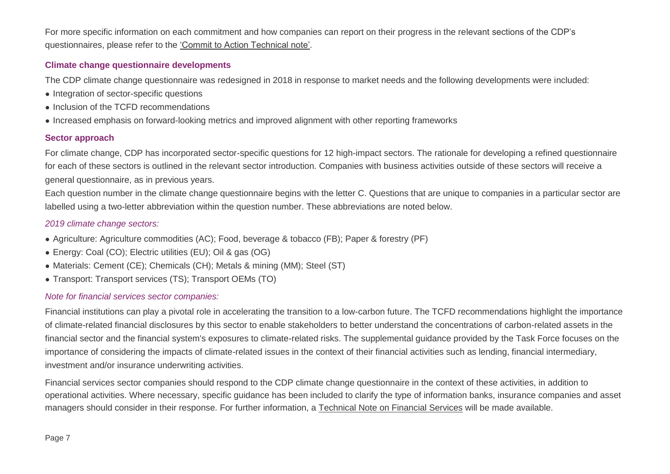For more specific information on each commitment and how companies can report on their progress in the relevant sections of the CDP's questionnaires, please refer to the ['Commit to Action Technical note'.](https://6fefcbb86e61af1b2fc4-c70d8ead6ced550b4d987d7c03fcdd1d.ssl.cf3.rackcdn.com/cms/guidance_docs/pdfs/000/001/838/original/CDP-technical-note-Commit-to-Action.pdf?1553704494)

#### **Climate change questionnaire developments**

The CDP climate change questionnaire was redesigned in 2018 in response to market needs and the following developments were included:

- Integration of sector-specific questions
- Inclusion of the TCFD recommendations
- Increased emphasis on forward-looking metrics and improved alignment with other reporting frameworks

#### **Sector approach**

For climate change, CDP has incorporated sector-specific questions for 12 high-impact sectors. The rationale for developing a refined questionnaire for each of these sectors is outlined in the relevant sector introduction. Companies with business activities outside of these sectors will receive a general questionnaire, as in previous years.

Each question number in the climate change questionnaire begins with the letter C. Questions that are unique to companies in a particular sector are labelled using a two-letter abbreviation within the question number. These abbreviations are noted below.

#### *2019 climate change sectors:*

- Agriculture: Agriculture commodities (AC); Food, beverage & tobacco (FB); Paper & forestry (PF)
- Energy: Coal (CO); Electric utilities (EU); Oil & gas (OG)
- Materials: Cement (CE); Chemicals (CH); Metals & mining (MM); Steel (ST)
- Transport: Transport services (TS); Transport OEMs (TO)

#### *Note for financial services sector companies:*

Financial institutions can play a pivotal role in accelerating the transition to a low-carbon future. The TCFD recommendations highlight the importance of climate-related financial disclosures by this sector to enable stakeholders to better understand the concentrations of carbon-related assets in the financial sector and the financial system's exposures to climate-related risks. The supplemental guidance provided by the Task Force focuses on the importance of considering the impacts of climate-related issues in the context of their financial activities such as lending, financial intermediary, investment and/or insurance underwriting activities.

Financial services sector companies should respond to the CDP climate change questionnaire in the context of these activities, in addition to operational activities. Where necessary, specific guidance has been included to clarify the type of information banks, insurance companies and asset managers should consider in their response. For further information, a [Technical Note on Financial Services](https://6fefcbb86e61af1b2fc4-c70d8ead6ced550b4d987d7c03fcdd1d.ssl.cf3.rackcdn.com/cms/guidance_docs/pdfs/000/001/785/original/CDP-technical-note-financial-services.pdf?1547640542) will be made available.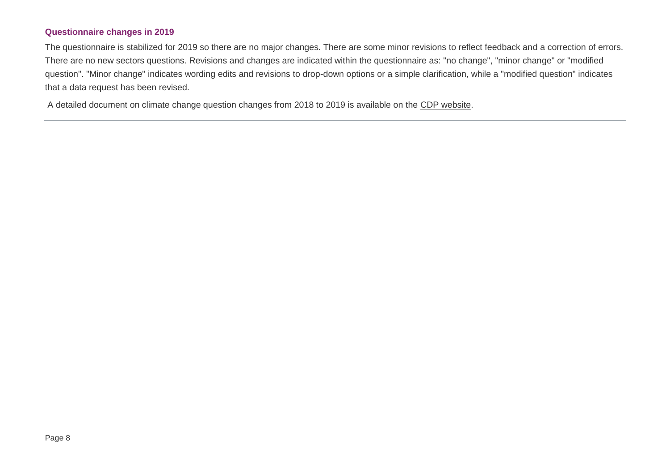#### **Questionnaire changes in 2019**

The questionnaire is stabilized for 2019 so there are no major changes. There are some minor revisions to reflect feedback and a correction of errors. There are no new sectors questions. Revisions and changes are indicated within the questionnaire as: "no change", "minor change" or "modified question". "Minor change" indicates wording edits and revisions to drop-down options or a simple clarification, while a "modified question" indicates that a data request has been revised.

A detailed document on climate change question changes from 2018 to 2019 is available on the [CDP website.](https://b8f65cb373b1b7b15feb-c70d8ead6ced550b4d987d7c03fcdd1d.ssl.cf3.rackcdn.com/cms/guidance_docs/pdfs/000/000/480/original/CDP-climate-change-changes-document.pdf?1518701401)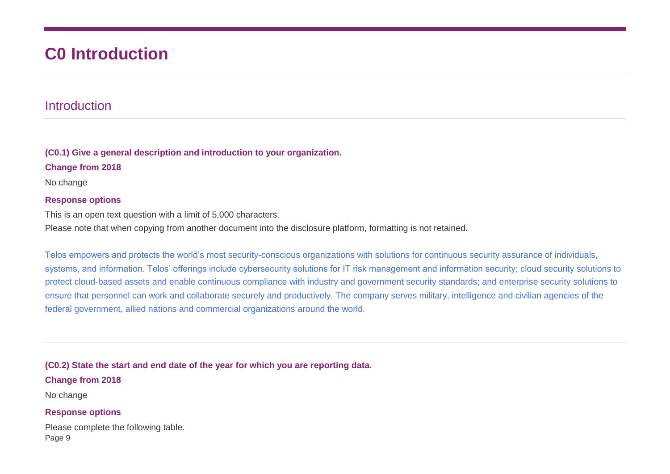# **C0 Introduction**

## Introduction

**(C0.1) Give a general description and introduction to your organization.**

**Change from 2018**

No change

#### **Response options**

This is an open text question with a limit of 5,000 characters.

Please note that when copying from another document into the disclosure platform, formatting is not retained.

Telos empowers and protects the world's most security-conscious organizations with solutions for continuous security assurance of individuals, systems, and information. Telos' offerings include cybersecurity solutions for IT risk management and information security; cloud security solutions to protect cloud-based assets and enable continuous compliance with industry and government security standards; and enterprise security solutions to ensure that personnel can work and collaborate securely and productively. The company serves military, intelligence and civilian agencies of the federal government, allied nations and commercial organizations around the world.

**(C0.2) State the start and end date of the year for which you are reporting data.**

#### **Change from 2018**

No change

#### **Response options**

Page 9 Please complete the following table.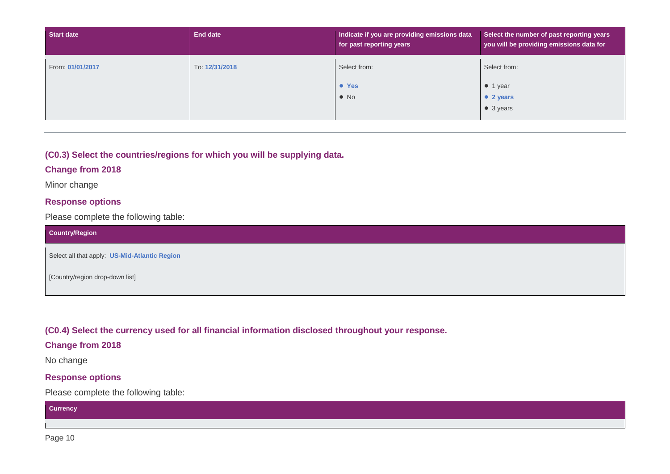| <b>Start date</b> | End date       | Indicate if you are providing emissions data<br>for past reporting years | Select the number of past reporting years<br>you will be providing emissions data for |
|-------------------|----------------|--------------------------------------------------------------------------|---------------------------------------------------------------------------------------|
| From: 01/01/2017  | To: 12/31/2018 | Select from:                                                             | Select from:                                                                          |
|                   |                | • Yes                                                                    | $\bullet$ 1 year                                                                      |
|                   |                | $\bullet$ No                                                             | • 2 years                                                                             |
|                   |                |                                                                          | • 3 years                                                                             |

#### **(C0.3) Select the countries/regions for which you will be supplying data.**

#### **Change from 2018**

Minor change

#### **Response options**

Please complete the following table:

| <b>Country/Region</b>                         |
|-----------------------------------------------|
| Select all that apply: US-Mid-Atlantic Region |
| [Country/region drop-down list]               |

**(C0.4) Select the currency used for all financial information disclosed throughout your response.**

#### **Change from 2018**

No change

#### **Response options**

Please complete the following table:

#### **Currency**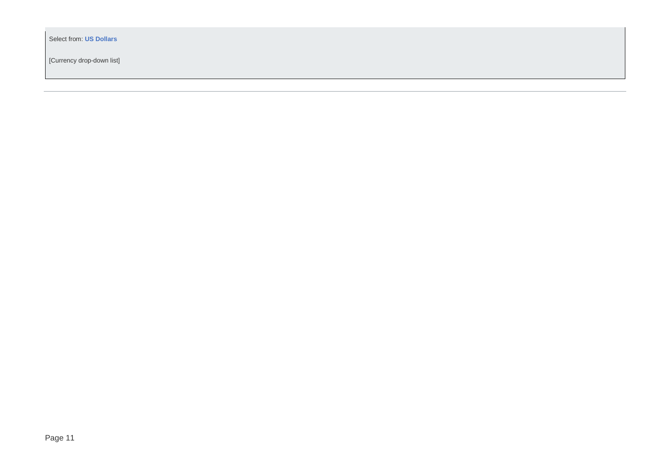Select from: **US Dollars**

[Currency drop-down list]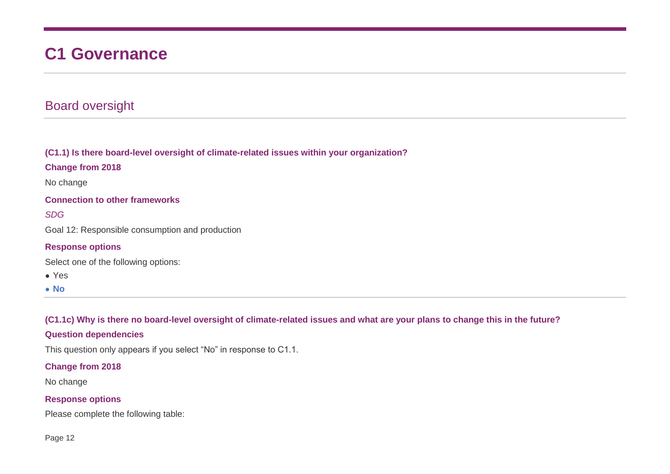# **C1 Governance**

# Board oversight

**(C1.1) Is there board-level oversight of climate-related issues within your organization?**

**Change from 2018**

No change

**Connection to other frameworks**

*SDG*

Goal 12: Responsible consumption and production

#### **Response options**

Select one of the following options:

● Yes

● **No**

**(C1.1c) Why is there no board-level oversight of climate-related issues and what are your plans to change this in the future?**

#### **Question dependencies**

This question only appears if you select "No" in response to C1.1.

#### **Change from 2018**

No change

#### **Response options**

Please complete the following table: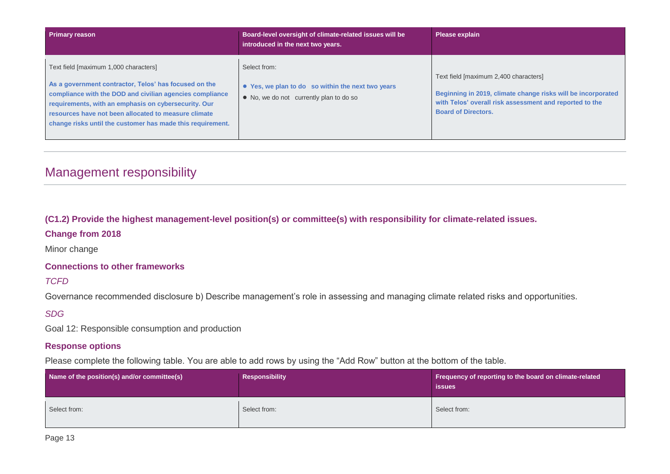| <b>Primary reason</b>                                                                                                                                                                                                                                                                                                                    | Board-level oversight of climate-related issues will be<br>introduced in the next two years.                 | Please explain                                                                                                                                                                                 |
|------------------------------------------------------------------------------------------------------------------------------------------------------------------------------------------------------------------------------------------------------------------------------------------------------------------------------------------|--------------------------------------------------------------------------------------------------------------|------------------------------------------------------------------------------------------------------------------------------------------------------------------------------------------------|
| Text field [maximum 1,000 characters]<br>As a government contractor, Telos' has focused on the<br>compliance with the DOD and civilian agencies compliance<br>requirements, with an emphasis on cybersecurity. Our<br>resources have not been allocated to measure climate<br>change risks until the customer has made this requirement. | Select from:<br>• Yes, we plan to do so within the next two years<br>• No, we do not currently plan to do so | Text field [maximum 2,400 characters]<br>Beginning in 2019, climate change risks will be incorporated<br>with Telos' overall risk assessment and reported to the<br><b>Board of Directors.</b> |

# Management responsibility

#### **(C1.2) Provide the highest management-level position(s) or committee(s) with responsibility for climate-related issues.**

#### **Change from 2018**

Minor change

#### **Connections to other frameworks**

*TCFD*

Governance recommended disclosure b) Describe management's role in assessing and managing climate related risks and opportunities.

#### *SDG*

Goal 12: Responsible consumption and production

#### **Response options**

Please complete the following table. You are able to add rows by using the "Add Row" button at the bottom of the table.

| Name of the position(s) and/or committee(s) | Responsibility | Frequency of reporting to the board on climate-related<br><b>issues</b> |
|---------------------------------------------|----------------|-------------------------------------------------------------------------|
| Select from:                                | Select from:   | Select from:                                                            |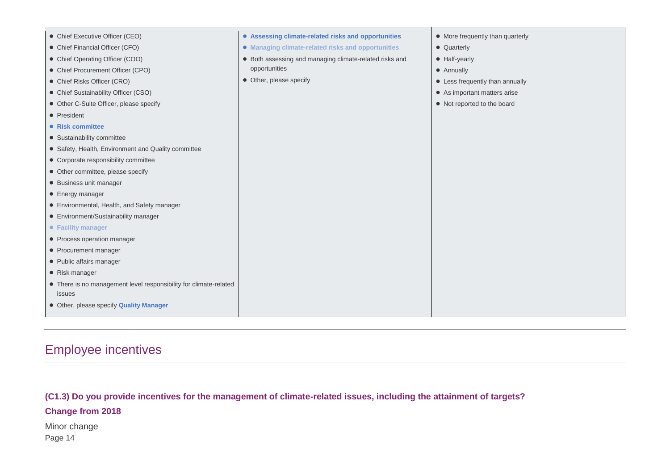| • Chief Executive Officer (CEO)                                   | • Assessing climate-related risks and opportunities     | • More frequently than quarterly |
|-------------------------------------------------------------------|---------------------------------------------------------|----------------------------------|
| • Chief Financial Officer (CFO)                                   | • Managing climate-related risks and opportunities      | • Quarterly                      |
| • Chief Operating Officer (COO)                                   | • Both assessing and managing climate-related risks and | • Half-yearly                    |
| • Chief Procurement Officer (CPO)                                 | opportunities                                           | • Annually                       |
| • Chief Risks Officer (CRO)                                       | • Other, please specify                                 | • Less frequently than annually  |
| • Chief Sustainability Officer (CSO)                              |                                                         | • As important matters arise     |
| • Other C-Suite Officer, please specify                           |                                                         | • Not reported to the board      |
| • President                                                       |                                                         |                                  |
| • Risk committee                                                  |                                                         |                                  |
| • Sustainability committee                                        |                                                         |                                  |
| • Safety, Health, Environment and Quality committee               |                                                         |                                  |
| • Corporate responsibility committee                              |                                                         |                                  |
| • Other committee, please specify                                 |                                                         |                                  |
| • Business unit manager                                           |                                                         |                                  |
| • Energy manager                                                  |                                                         |                                  |
| • Environmental, Health, and Safety manager                       |                                                         |                                  |
| • Environment/Sustainability manager                              |                                                         |                                  |
| • Facility manager                                                |                                                         |                                  |
| • Process operation manager                                       |                                                         |                                  |
| • Procurement manager                                             |                                                         |                                  |
| • Public affairs manager                                          |                                                         |                                  |
| • Risk manager                                                    |                                                         |                                  |
| • There is no management level responsibility for climate-related |                                                         |                                  |
| issues                                                            |                                                         |                                  |
| • Other, please specify Quality Manager                           |                                                         |                                  |
|                                                                   |                                                         |                                  |

# Employee incentives

#### **(C1.3) Do you provide incentives for the management of climate-related issues, including the attainment of targets?**

#### **Change from 2018**

Page 14 Minor change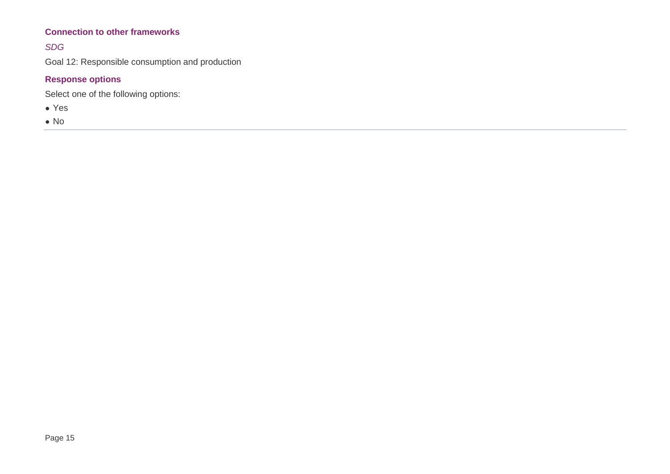#### **Connection to other frameworks**

#### *SDG*

Goal 12: Responsible consumption and production

#### **Response options**

Select one of the following options:

● Yes

● No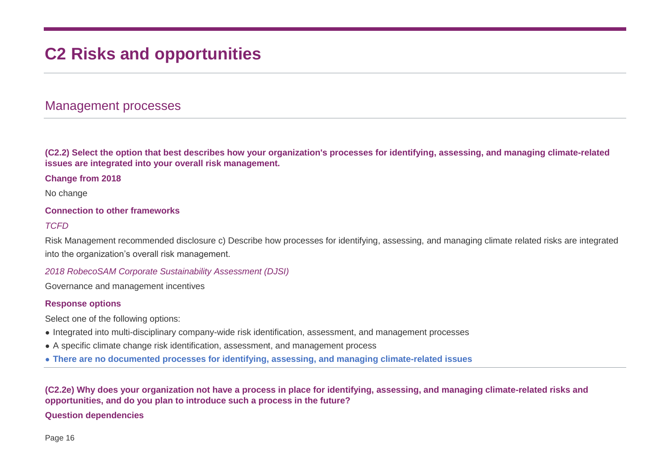# **C2 Risks and opportunities**

## Management processes

**(C2.2) Select the option that best describes how your organization's processes for identifying, assessing, and managing climate-related issues are integrated into your overall risk management.**

#### **Change from 2018**

No change

#### **Connection to other frameworks**

#### *TCFD*

Risk Management recommended disclosure c) Describe how processes for identifying, assessing, and managing climate related risks are integrated into the organization's overall risk management.

#### *2018 RobecoSAM Corporate Sustainability Assessment (DJSI)*

Governance and management incentives

#### **Response options**

Select one of the following options:

- Integrated into multi-disciplinary company-wide risk identification, assessment, and management processes
- A specific climate change risk identification, assessment, and management process
- **There are no documented processes for identifying, assessing, and managing climate-related issues**

#### **(C2.2e) Why does your organization not have a process in place for identifying, assessing, and managing climate-related risks and opportunities, and do you plan to introduce such a process in the future?**

#### **Question dependencies**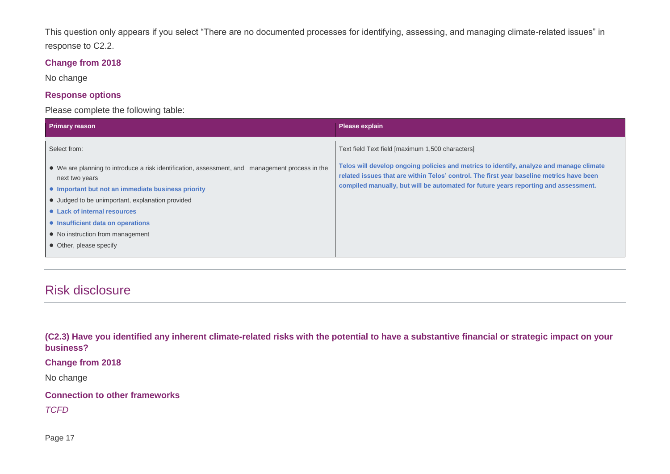This question only appears if you select "There are no documented processes for identifying, assessing, and managing climate-related issues" in response to C2.2.

#### **Change from 2018**

No change

#### **Response options**

Please complete the following table:

| <b>Primary reason</b>                                                                                             | Please explain                                                                                                                                                                      |
|-------------------------------------------------------------------------------------------------------------------|-------------------------------------------------------------------------------------------------------------------------------------------------------------------------------------|
| Select from:                                                                                                      | Text field Text field [maximum 1,500 characters]                                                                                                                                    |
| • We are planning to introduce a risk identification, assessment, and management process in the<br>next two years | Telos will develop ongoing policies and metrics to identify, analyze and manage climate<br>related issues that are within Telos' control. The first year baseline metrics have been |
| • Important but not an immediate business priority                                                                | compiled manually, but will be automated for future years reporting and assessment.                                                                                                 |
| • Judged to be unimportant, explanation provided                                                                  |                                                                                                                                                                                     |
| • Lack of internal resources                                                                                      |                                                                                                                                                                                     |
| • Insufficient data on operations                                                                                 |                                                                                                                                                                                     |
| • No instruction from management                                                                                  |                                                                                                                                                                                     |
| • Other, please specify                                                                                           |                                                                                                                                                                                     |

# Risk disclosure

**(C2.3) Have you identified any inherent climate-related risks with the potential to have a substantive financial or strategic impact on your business?**

**Change from 2018**

No change

**Connection to other frameworks**

*TCFD*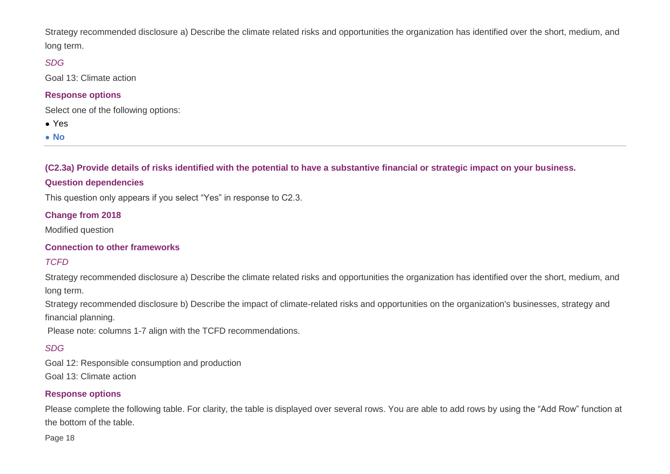Strategy recommended disclosure a) Describe the climate related risks and opportunities the organization has identified over the short, medium, and long term.

#### *SDG*

Goal 13: Climate action

#### **Response options**

Select one of the following options:

- Yes
- **No**

**(C2.3a) Provide details of risks identified with the potential to have a substantive financial or strategic impact on your business.**

#### **Question dependencies**

This question only appears if you select "Yes" in response to C2.3.

#### **Change from 2018**

Modified question

#### **Connection to other frameworks**

#### *TCFD*

Strategy recommended disclosure a) Describe the climate related risks and opportunities the organization has identified over the short, medium, and long term.

Strategy recommended disclosure b) Describe the impact of climate-related risks and opportunities on the organization's businesses, strategy and financial planning.

Please note: columns 1-7 align with the TCFD recommendations.

#### *SDG*

Goal 12: Responsible consumption and production Goal 13: Climate action

#### **Response options**

Please complete the following table. For clarity, the table is displayed over several rows. You are able to add rows by using the "Add Row" function at the bottom of the table.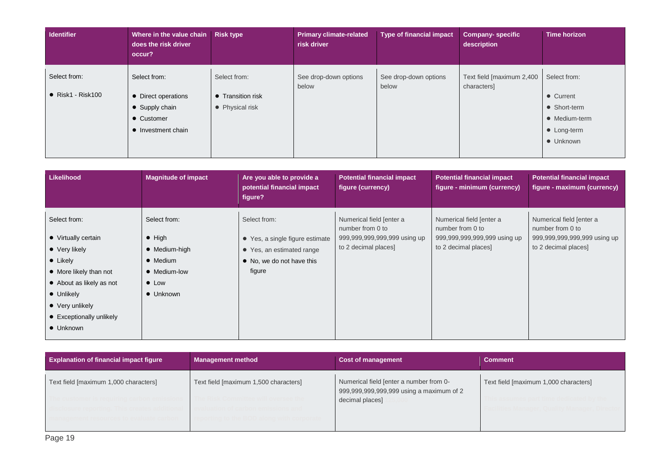| Identifier                                | Where in the value chain<br>does the risk driver<br>occur?                                | <b>Risk type</b>                                     | <b>Primary climate-related</b><br>risk driver | <b>Type of financial impact</b> | <b>Company- specific</b><br>description  | <b>Time horizon</b>                                                                    |
|-------------------------------------------|-------------------------------------------------------------------------------------------|------------------------------------------------------|-----------------------------------------------|---------------------------------|------------------------------------------|----------------------------------------------------------------------------------------|
| Select from:<br>$\bullet$ Risk1 - Risk100 | Select from:<br>• Direct operations<br>• Supply chain<br>• Customer<br>• Investment chain | Select from:<br>• Transition risk<br>• Physical risk | See drop-down options<br>below                | See drop-down options<br>below  | Text field [maximum 2,400<br>characters] | Select from:<br>• Current<br>• Short-term<br>• Medium-term<br>• Long-term<br>• Unknown |

| <b>Likelihood</b>                                                                                                                                                                                                            | <b>Magnitude of impact</b>                                                                                                | Are you able to provide a<br>potential financial impact<br>figure?                                                  | <b>Potential financial impact</b><br>figure (currency)                                               | <b>Potential financial impact</b><br>figure - minimum (currency)                                     | <b>Potential financial impact</b><br>figure - maximum (currency)                                     |
|------------------------------------------------------------------------------------------------------------------------------------------------------------------------------------------------------------------------------|---------------------------------------------------------------------------------------------------------------------------|---------------------------------------------------------------------------------------------------------------------|------------------------------------------------------------------------------------------------------|------------------------------------------------------------------------------------------------------|------------------------------------------------------------------------------------------------------|
| Select from:<br>• Virtually certain<br>$\bullet\;$ Very likely<br>$\bullet$ Likely<br>• More likely than not<br>• About as likely as not<br>• Unlikely<br>$\bullet\;$ Very unlikely<br>• Exceptionally unlikely<br>• Unknown | Select from:<br>$\bullet$ High<br>$\bullet$ Medium-high<br>• Medium<br>• Medium-low<br>$\bullet$ Low<br>$\bullet$ Unknown | Select from:<br>• Yes, a single figure estimate<br>• Yes, an estimated range<br>• No, we do not have this<br>figure | Numerical field [enter a<br>number from 0 to<br>999,999,999,999,999 using up<br>to 2 decimal places] | Numerical field [enter a<br>number from 0 to<br>999,999,999,999,999 using up<br>to 2 decimal places] | Numerical field [enter a<br>number from 0 to<br>999,999,999,999,999 using up<br>to 2 decimal places] |

| <b>Explanation of financial impact figure</b> | <b>Management method</b>              | <b>Cost of management</b>                                                           | <b>Comment</b>                        |
|-----------------------------------------------|---------------------------------------|-------------------------------------------------------------------------------------|---------------------------------------|
| Text field [maximum 1,000 characters]         | Text field [maximum 1,500 characters] | Numerical field [enter a number from 0-<br>999,999,999,999,999 using a maximum of 2 | Text field [maximum 1,000 characters] |
|                                               |                                       | decimal places]                                                                     |                                       |
|                                               |                                       |                                                                                     |                                       |
|                                               |                                       |                                                                                     |                                       |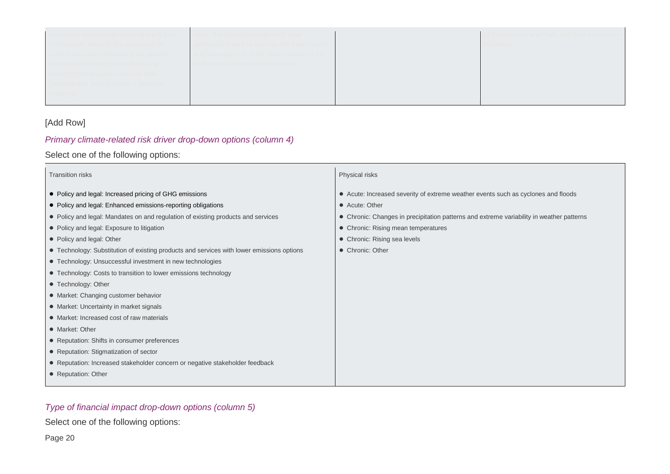| emissions and manage tasks to track this | ricks: the Ouglity Manager will have<br>TISKS. LIIG QUATILY MATIAUGI WIII HAVG | if Compliance and Risk, and Risk commit |
|------------------------------------------|--------------------------------------------------------------------------------|-----------------------------------------|
| information. Many of the strategies for  | additional duties to oversee the data reports                                  | members.                                |
| arbon emission reductions are already:   | and management of the tasks related to the                                     |                                         |
| informally in place, but tracking and    | carbon emissions reduction plan.                                               |                                         |
| reporting the progress has not been      |                                                                                |                                         |
| nplemented until this vear's baseline_   |                                                                                |                                         |
| oortina.                                 |                                                                                |                                         |
|                                          |                                                                                |                                         |

#### [Add Row]

## *Primary climate-related risk driver drop-down options (column 4)*

Select one of the following options:

| Transition risks                                                                          | Physical risks                                                                           |
|-------------------------------------------------------------------------------------------|------------------------------------------------------------------------------------------|
| • Policy and legal: Increased pricing of GHG emissions                                    | • Acute: Increased severity of extreme weather events such as cyclones and floods        |
| • Policy and legal: Enhanced emissions-reporting obligations                              | • Acute: Other                                                                           |
| • Policy and legal: Mandates on and regulation of existing products and services          | • Chronic: Changes in precipitation patterns and extreme variability in weather patterns |
| • Policy and legal: Exposure to litigation                                                | • Chronic: Rising mean temperatures                                                      |
| • Policy and legal: Other                                                                 | • Chronic: Rising sea levels                                                             |
| • Technology: Substitution of existing products and services with lower emissions options | • Chronic: Other                                                                         |
| • Technology: Unsuccessful investment in new technologies                                 |                                                                                          |
| • Technology: Costs to transition to lower emissions technology                           |                                                                                          |
| • Technology: Other                                                                       |                                                                                          |
| • Market: Changing customer behavior                                                      |                                                                                          |
| • Market: Uncertainty in market signals                                                   |                                                                                          |
| • Market: Increased cost of raw materials                                                 |                                                                                          |
| • Market: Other                                                                           |                                                                                          |
| • Reputation: Shifts in consumer preferences                                              |                                                                                          |
| • Reputation: Stigmatization of sector                                                    |                                                                                          |
| • Reputation: Increased stakeholder concern or negative stakeholder feedback              |                                                                                          |
| • Reputation: Other                                                                       |                                                                                          |
|                                                                                           |                                                                                          |

## *Type of financial impact drop-down options (column 5)*

Select one of the following options: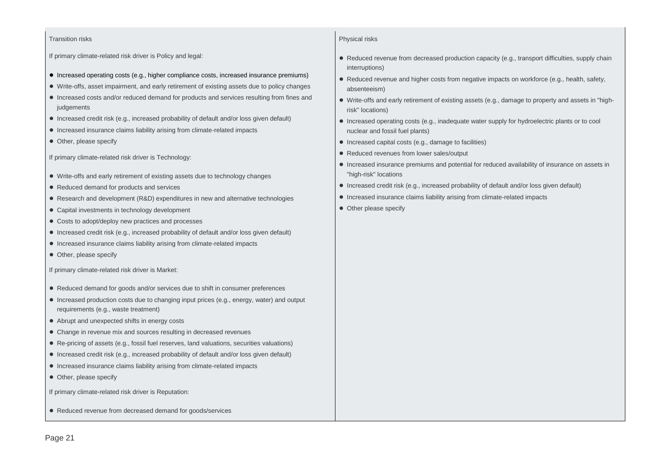#### Transition risks

If primary climate-related risk driver is Policy and legal:

- Increased operating costs (e.g., higher compliance costs, increased insurance premiums)
- Write-offs, asset impairment, and early retirement of existing assets due to policy changes
- Increased costs and/or reduced demand for products and services resulting from fines and judgements
- Increased credit risk (e.g., increased probability of default and/or loss given default)
- Increased insurance claims liability arising from climate-related impacts
- Other, please specify

If primary climate-related risk driver is Technology:

- Write-offs and early retirement of existing assets due to technology changes
- Reduced demand for products and services
- Research and development (R&D) expenditures in new and alternative technologies
- Capital investments in technology development
- Costs to adopt/deploy new practices and processes
- Increased credit risk (e.g., increased probability of default and/or loss given default)
- Increased insurance claims liability arising from climate-related impacts
- Other, please specify

If primary climate-related risk driver is Market:

- Reduced demand for goods and/or services due to shift in consumer preferences
- Increased production costs due to changing input prices (e.g., energy, water) and output requirements (e.g., waste treatment)
- Abrupt and unexpected shifts in energy costs
- Change in revenue mix and sources resulting in decreased revenues
- Re-pricing of assets (e.g., fossil fuel reserves, land valuations, securities valuations)
- Increased credit risk (e.g., increased probability of default and/or loss given default)
- Increased insurance claims liability arising from climate-related impacts
- Other, please specify

If primary climate-related risk driver is Reputation:

● Reduced revenue from decreased demand for goods/services

#### Physical risks

- Reduced revenue from decreased production capacity (e.g., transport difficulties, supply chain interruptions)
- Reduced revenue and higher costs from negative impacts on workforce (e.g., health, safety, absenteeism)
- Write-offs and early retirement of existing assets (e.g., damage to property and assets in "highrisk" locations)
- Increased operating costs (e.g., inadequate water supply for hydroelectric plants or to cool nuclear and fossil fuel plants)
- Increased capital costs (e.g., damage to facilities)
- Reduced revenues from lower sales/output
- Increased insurance premiums and potential for reduced availability of insurance on assets in "high-risk" locations
- Increased credit risk (e.g., increased probability of default and/or loss given default)
- Increased insurance claims liability arising from climate-related impacts
- Other please specify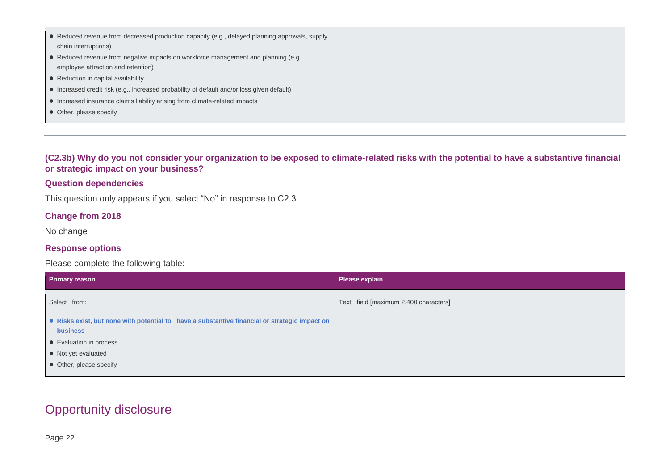| • Reduced revenue from decreased production capacity (e.g., delayed planning approvals, supply<br>chain interruptions)    |
|---------------------------------------------------------------------------------------------------------------------------|
| • Reduced revenue from negative impacts on workforce management and planning (e.g.,<br>employee attraction and retention) |
| • Reduction in capital availability                                                                                       |
| • Increased credit risk (e.g., increased probability of default and/or loss given default)                                |
| • Increased insurance claims liability arising from climate-related impacts                                               |
| • Other, please specify                                                                                                   |

**(C2.3b) Why do you not consider your organization to be exposed to climate-related risks with the potential to have a substantive financial or strategic impact on your business?**

#### **Question dependencies**

This question only appears if you select "No" in response to C2.3.

#### **Change from 2018**

No change

#### **Response options**

Please complete the following table:

| Primary reason                                                                                            | <b>Please explain</b>                 |
|-----------------------------------------------------------------------------------------------------------|---------------------------------------|
| Select from:                                                                                              | Text field [maximum 2,400 characters] |
| • Risks exist, but none with potential to have a substantive financial or strategic impact on<br>business |                                       |
| • Evaluation in process                                                                                   |                                       |
| • Not yet evaluated                                                                                       |                                       |
| • Other, please specify                                                                                   |                                       |
|                                                                                                           |                                       |

# Opportunity disclosure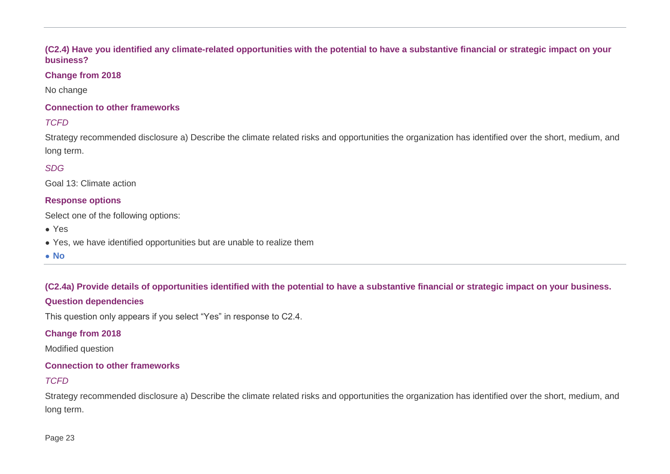#### **(C2.4) Have you identified any climate-related opportunities with the potential to have a substantive financial or strategic impact on your business?**

#### **Change from 2018**

No change

#### **Connection to other frameworks**

#### *TCFD*

Strategy recommended disclosure a) Describe the climate related risks and opportunities the organization has identified over the short, medium, and long term.

#### *SDG*

Goal 13: Climate action

#### **Response options**

Select one of the following options:

- Yes
- Yes, we have identified opportunities but are unable to realize them
- **No**

**(C2.4a) Provide details of opportunities identified with the potential to have a substantive financial or strategic impact on your business.**

#### **Question dependencies**

This question only appears if you select "Yes" in response to C2.4.

#### **Change from 2018**

Modified question

#### **Connection to other frameworks**

#### *TCFD*

Strategy recommended disclosure a) Describe the climate related risks and opportunities the organization has identified over the short, medium, and long term.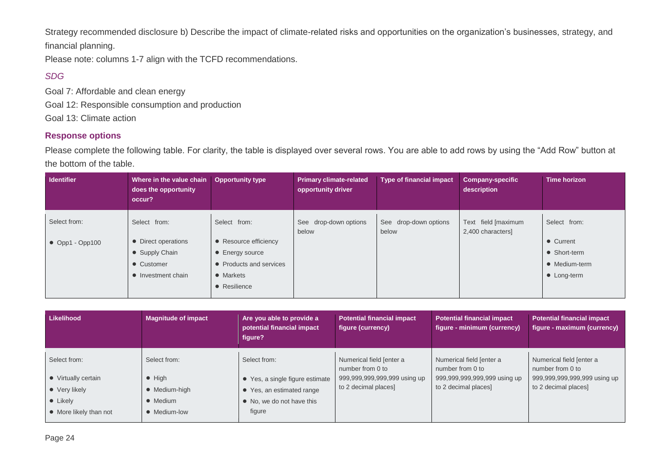Strategy recommended disclosure b) Describe the impact of climate-related risks and opportunities on the organization's businesses, strategy, and financial planning.

Please note: columns 1-7 align with the TCFD recommendations.

#### *SDG*

Goal 7: Affordable and clean energy Goal 12: Responsible consumption and production Goal 13: Climate action

#### **Response options**

Please complete the following table. For clarity, the table is displayed over several rows. You are able to add rows by using the "Add Row" button at the bottom of the table.

| <b>Identifier</b>       | Where in the value chain<br>does the opportunity<br>occur? | <b>Opportunity type</b>            | <b>Primary climate-related</b><br>opportunity driver | <b>Type of financial impact</b> | <b>Company-specific</b><br>description   | Time horizon  |
|-------------------------|------------------------------------------------------------|------------------------------------|------------------------------------------------------|---------------------------------|------------------------------------------|---------------|
| Select from:            | Select from:                                               | Select from:                       | See drop-down options<br>below                       | See drop-down options<br>below  | Text field [maximum<br>2,400 characters] | Select from:  |
| $\bullet$ Opp1 - Opp100 | • Direct operations                                        | • Resource efficiency              |                                                      |                                 |                                          | • Current     |
|                         | • Supply Chain                                             | Energy source<br>$\bullet$         |                                                      |                                 |                                          | • Short-term  |
|                         | • Customer                                                 | Products and services<br>$\bullet$ |                                                      |                                 |                                          | • Medium-term |
|                         | • Investment chain                                         | • Markets                          |                                                      |                                 |                                          | • Long-term   |
|                         |                                                            | • Resilience                       |                                                      |                                 |                                          |               |

| <b>Likelihood</b>      | <b>Magnitude of impact</b> | Are you able to provide a<br>potential financial impact<br>figure? | <b>Potential financial impact</b><br>figure (currency) | <b>Potential financial impact</b><br>figure - minimum (currency) | <b>Potential financial impact</b><br>figure - maximum (currency) |
|------------------------|----------------------------|--------------------------------------------------------------------|--------------------------------------------------------|------------------------------------------------------------------|------------------------------------------------------------------|
| Select from:           | Select from:               | Select from:                                                       | Numerical field [enter a<br>number from 0 to           | Numerical field [enter a<br>number from 0 to                     | Numerical field [enter a<br>number from 0 to                     |
| • Virtually certain    | $\bullet$ High             | • Yes, a single figure estimate                                    | 999,999,999,999,999 using up                           | 999,999,999,999,999 using up                                     | 999,999,999,999,999 using up                                     |
| • Very likely          | • Medium-high              | • Yes, an estimated range                                          | to 2 decimal places]                                   | to 2 decimal places]                                             | to 2 decimal places]                                             |
| $\bullet$ Likely       | • Medium                   | • No, we do not have this                                          |                                                        |                                                                  |                                                                  |
| • More likely than not | • Medium-low               | figure                                                             |                                                        |                                                                  |                                                                  |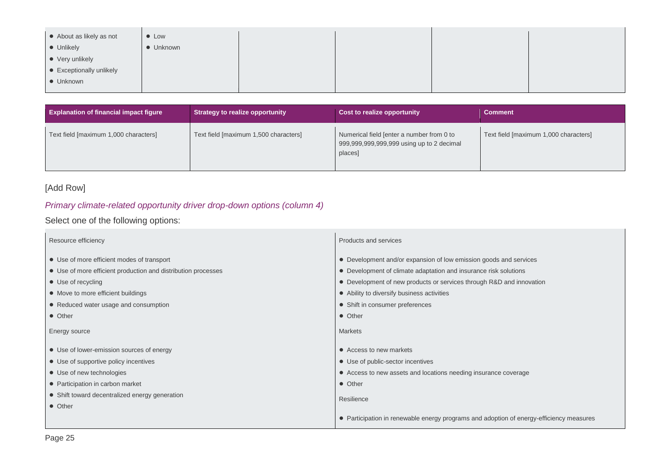| • About as likely as not | $\bullet$ Low |  |  |
|--------------------------|---------------|--|--|
| • Unlikely               | • Unknown     |  |  |
| • Very unlikely          |               |  |  |
| • Exceptionally unlikely |               |  |  |
| • Unknown                |               |  |  |
|                          |               |  |  |

| <b>Explanation of financial impact figure</b> | Strategy to realize opportunity       | Cost to realize opportunity                                                                       | <b>Comment</b>                        |
|-----------------------------------------------|---------------------------------------|---------------------------------------------------------------------------------------------------|---------------------------------------|
| Text field [maximum 1,000 characters]         | Text field [maximum 1,500 characters] | Numerical field [enter a number from 0 to<br>999,999,999,999,999 using up to 2 decimal<br>places] | Text field [maximum 1,000 characters] |

#### [Add Row]

#### *Primary climate-related opportunity driver drop-down options (column 4)*

Select one of the following options:

| Resource efficiency                                           | Products and services                                                                   |
|---------------------------------------------------------------|-----------------------------------------------------------------------------------------|
| • Use of more efficient modes of transport                    | • Development and/or expansion of low emission goods and services                       |
| • Use of more efficient production and distribution processes | • Development of climate adaptation and insurance risk solutions                        |
| • Use of recycling                                            | • Development of new products or services through R&D and innovation                    |
| • Move to more efficient buildings                            | • Ability to diversify business activities                                              |
| • Reduced water usage and consumption                         | • Shift in consumer preferences                                                         |
| • Other                                                       | • Other                                                                                 |
| Energy source                                                 | <b>Markets</b>                                                                          |
| • Use of lower-emission sources of energy                     | • Access to new markets                                                                 |
| • Use of supportive policy incentives                         | • Use of public-sector incentives                                                       |
| • Use of new technologies                                     | • Access to new assets and locations needing insurance coverage                         |
| • Participation in carbon market                              | • Other                                                                                 |
| • Shift toward decentralized energy generation                | Resilience                                                                              |
| • Other                                                       |                                                                                         |
|                                                               | • Participation in renewable energy programs and adoption of energy-efficiency measures |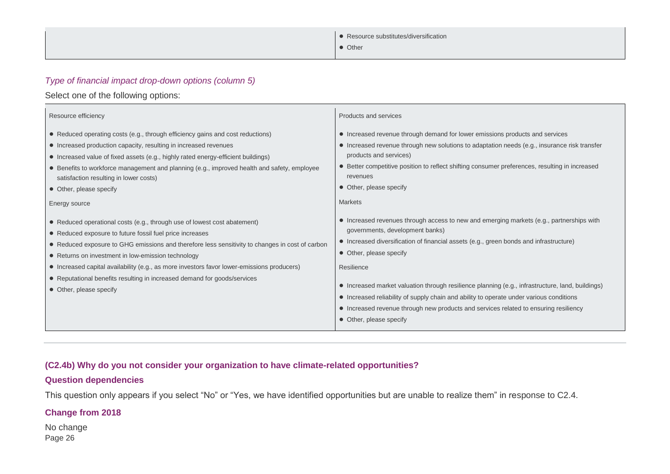| • Resource substitutes/diversification |
|----------------------------------------|
| • Other                                |

#### *Type of financial impact drop-down options (column 5)*

#### Select one of the following options:

 $\overline{a}$ 

| Resource efficiency                                                                                                                                                                                                                                                                                                                                                                                                                                                                                | Products and services                                                                                                                                                                                                                                                                                                                                                                                                                                                                                                                                                            |
|----------------------------------------------------------------------------------------------------------------------------------------------------------------------------------------------------------------------------------------------------------------------------------------------------------------------------------------------------------------------------------------------------------------------------------------------------------------------------------------------------|----------------------------------------------------------------------------------------------------------------------------------------------------------------------------------------------------------------------------------------------------------------------------------------------------------------------------------------------------------------------------------------------------------------------------------------------------------------------------------------------------------------------------------------------------------------------------------|
| • Reduced operating costs (e.g., through efficiency gains and cost reductions)<br>• Increased production capacity, resulting in increased revenues<br>• Increased value of fixed assets (e.g., highly rated energy-efficient buildings)<br>• Benefits to workforce management and planning (e.g., improved health and safety, employee<br>satisfaction resulting in lower costs)<br>• Other, please specify<br>Energy source                                                                       | • Increased revenue through demand for lower emissions products and services<br>• Increased revenue through new solutions to adaptation needs (e.g., insurance risk transfer<br>products and services)<br>• Better competitive position to reflect shifting consumer preferences, resulting in increased<br>revenues<br>• Other, please specify<br><b>Markets</b>                                                                                                                                                                                                                |
| • Reduced operational costs (e.g., through use of lowest cost abatement)<br>• Reduced exposure to future fossil fuel price increases<br>• Reduced exposure to GHG emissions and therefore less sensitivity to changes in cost of carbon<br>• Returns on investment in low-emission technology<br>• Increased capital availability (e.g., as more investors favor lower-emissions producers)<br>• Reputational benefits resulting in increased demand for goods/services<br>• Other, please specify | • Increased revenues through access to new and emerging markets (e.g., partnerships with<br>governments, development banks)<br>• Increased diversification of financial assets (e.g., green bonds and infrastructure)<br>• Other, please specify<br>Resilience<br>• Increased market valuation through resilience planning (e.g., infrastructure, land, buildings)<br>• Increased reliability of supply chain and ability to operate under various conditions<br>• Increased revenue through new products and services related to ensuring resiliency<br>• Other, please specify |

#### **(C2.4b) Why do you not consider your organization to have climate-related opportunities?**

#### **Question dependencies**

This question only appears if you select "No" or "Yes, we have identified opportunities but are unable to realize them" in response to C2.4.

#### **Change from 2018**

Page 26 No change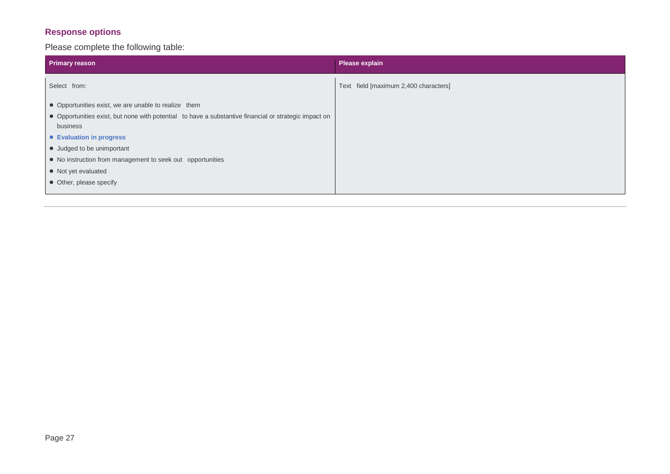#### **Response options**

Please complete the following table:

| Primary reason                                                                                        | Please explain                        |
|-------------------------------------------------------------------------------------------------------|---------------------------------------|
| Select from:                                                                                          | Text field [maximum 2,400 characters] |
| • Opportunities exist, we are unable to realize them                                                  |                                       |
| • Opportunities exist, but none with potential to have a substantive financial or strategic impact on |                                       |
| business                                                                                              |                                       |
| • Evaluation in progress                                                                              |                                       |
| • Judged to be unimportant                                                                            |                                       |
| • No instruction from management to seek out opportunities                                            |                                       |
| • Not yet evaluated                                                                                   |                                       |
| • Other, please specify                                                                               |                                       |
|                                                                                                       |                                       |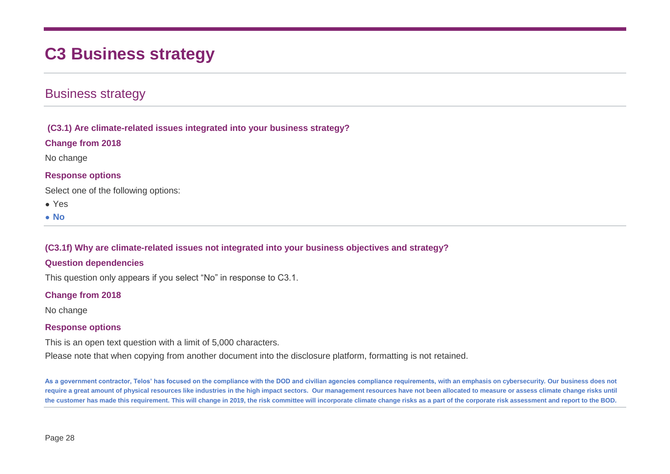# **C3 Business strategy**

## Business strategy

**(C3.1) Are climate-related issues integrated into your business strategy?**

**Change from 2018**

No change

#### **Response options**

Select one of the following options:

- Yes
- **No**

**(C3.1f) Why are climate-related issues not integrated into your business objectives and strategy?**

#### **Question dependencies**

This question only appears if you select "No" in response to C3.1.

#### **Change from 2018**

No change

#### **Response options**

This is an open text question with a limit of 5,000 characters.

Please note that when copying from another document into the disclosure platform, formatting is not retained.

**As a government contractor, Telos' has focused on the compliance with the DOD and civilian agencies compliance requirements, with an emphasis on cybersecurity. Our business does not require a great amount of physical resources like industries in the high impact sectors. Our management resources have not been allocated to measure or assess climate change risks until the customer has made this requirement. This will change in 2019, the risk committee will incorporate climate change risks as a part of the corporate risk assessment and report to the BOD.**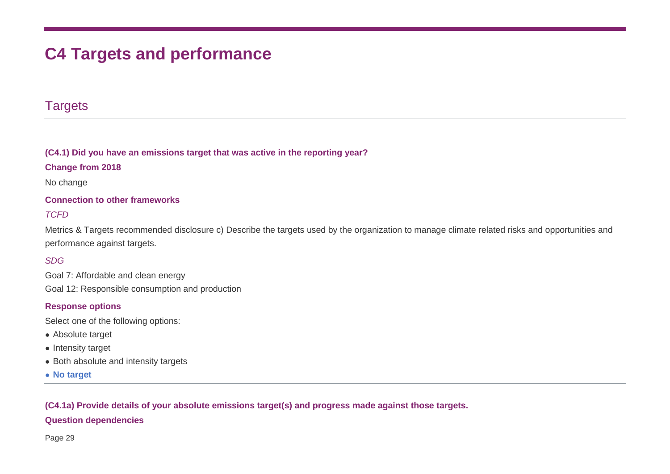# **C4 Targets and performance**

## **Targets**

#### **(C4.1) Did you have an emissions target that was active in the reporting year?**

#### **Change from 2018**

No change

#### **Connection to other frameworks**

#### *TCFD*

Metrics & Targets recommended disclosure c) Describe the targets used by the organization to manage climate related risks and opportunities and performance against targets.

#### *SDG*

Goal 7: Affordable and clean energy Goal 12: Responsible consumption and production

#### **Response options**

Select one of the following options:

- Absolute target
- Intensity target
- Both absolute and intensity targets
- **No target**

#### **(C4.1a) Provide details of your absolute emissions target(s) and progress made against those targets.**

#### **Question dependencies**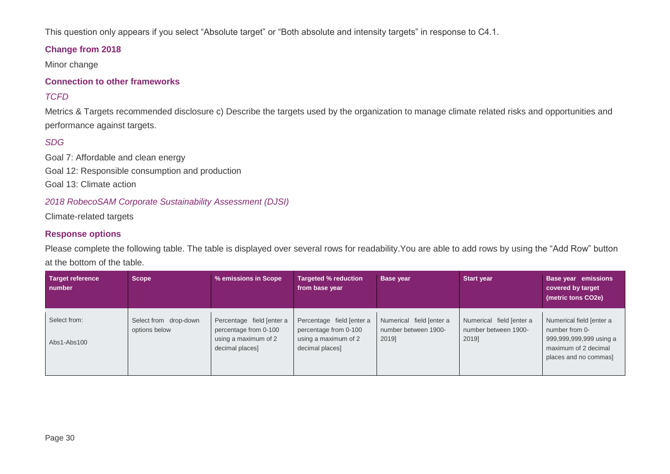This question only appears if you select "Absolute target" or "Both absolute and intensity targets" in response to C4.1.

#### **Change from 2018**

Minor change

#### **Connection to other frameworks**

#### *TCFD*

Metrics & Targets recommended disclosure c) Describe the targets used by the organization to manage climate related risks and opportunities and performance against targets.

#### *SDG*

Goal 7: Affordable and clean energy Goal 12: Responsible consumption and production Goal 13: Climate action

#### *2018 RobecoSAM Corporate Sustainability Assessment (DJSI)*

Climate-related targets

#### **Response options**

Please complete the following table. The table is displayed over several rows for readability.You are able to add rows by using the "Add Row" button at the bottom of the table.

| <b>Target reference</b><br>number | <b>Scope</b>                           | % emissions in Scope                                                                          | <b>Targeted % reduction</b><br>from base year                                                 | Base year                                                 | <b>Start year</b>                                         | Base year emissions<br>covered by target<br>(metric tons CO2e)                                                         |
|-----------------------------------|----------------------------------------|-----------------------------------------------------------------------------------------------|-----------------------------------------------------------------------------------------------|-----------------------------------------------------------|-----------------------------------------------------------|------------------------------------------------------------------------------------------------------------------------|
| Select from:<br>Abs1-Abs100       | Select from drop-down<br>options below | Percentage field [enter a<br>percentage from 0-100<br>using a maximum of 2<br>decimal places] | Percentage field [enter a<br>percentage from 0-100<br>using a maximum of 2<br>decimal places] | Numerical field [enter a<br>number between 1900-<br>2019] | Numerical field [enter a<br>number between 1900-<br>2019] | Numerical field [enter a<br>number from 0-<br>999,999,999,999 using a<br>maximum of 2 decimal<br>places and no commas] |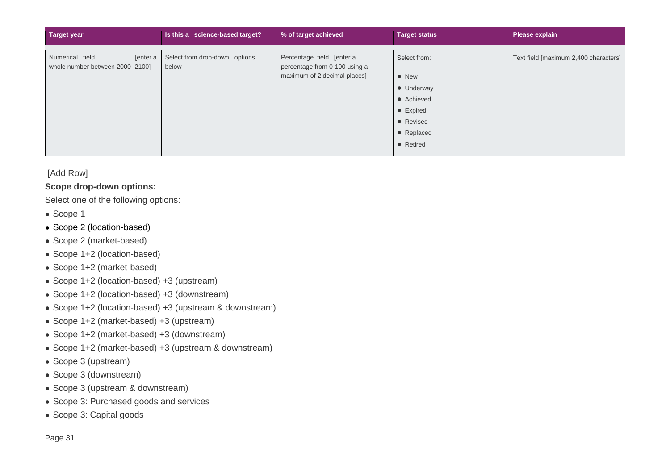| Target year                                                    | Is this a science-based target?        | % of target achieved                                       | <b>Target status</b> | <b>Please explain</b>                 |
|----------------------------------------------------------------|----------------------------------------|------------------------------------------------------------|----------------------|---------------------------------------|
| Numerical field<br>[enter a<br>whole number between 2000-2100] | Select from drop-down options<br>below | Percentage field [enter a<br>percentage from 0-100 using a | Select from:         | Text field [maximum 2,400 characters] |
|                                                                |                                        | maximum of 2 decimal places]                               | $\bullet$ New        |                                       |
|                                                                |                                        |                                                            | • Underway           |                                       |
|                                                                |                                        |                                                            | • Achieved           |                                       |
|                                                                |                                        |                                                            | • Expired            |                                       |
|                                                                |                                        |                                                            | • Revised            |                                       |
|                                                                |                                        |                                                            | • Replaced           |                                       |
|                                                                |                                        |                                                            | • Retired            |                                       |
|                                                                |                                        |                                                            |                      |                                       |

#### [Add Row]

#### **Scope drop-down options:**

Select one of the following options:

- Scope 1
- Scope 2 (location-based)
- Scope 2 (market-based)
- Scope 1+2 (location-based)
- Scope 1+2 (market-based)
- Scope 1+2 (location-based) +3 (upstream)
- Scope 1+2 (location-based) +3 (downstream)
- Scope 1+2 (location-based) +3 (upstream & downstream)
- Scope 1+2 (market-based) +3 (upstream)
- Scope 1+2 (market-based) +3 (downstream)
- Scope 1+2 (market-based) +3 (upstream & downstream)
- Scope 3 (upstream)
- Scope 3 (downstream)
- Scope 3 (upstream & downstream)
- Scope 3: Purchased goods and services
- Scope 3: Capital goods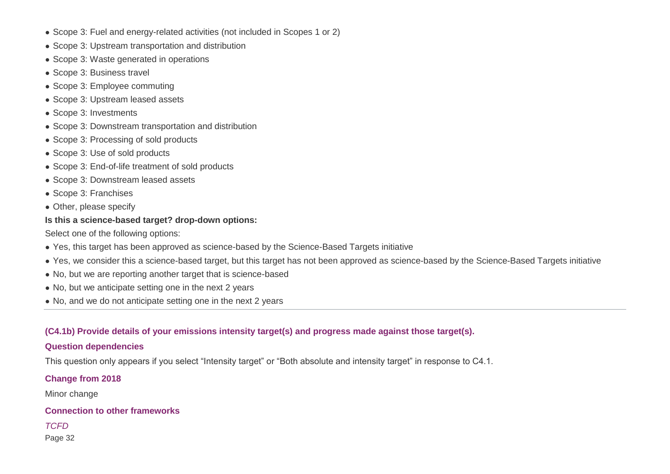- Scope 3: Fuel and energy-related activities (not included in Scopes 1 or 2)
- Scope 3: Upstream transportation and distribution
- Scope 3: Waste generated in operations
- Scope 3: Business travel
- Scope 3: Employee commuting
- Scope 3: Upstream leased assets
- Scope 3: Investments
- Scope 3: Downstream transportation and distribution
- Scope 3: Processing of sold products
- Scope 3: Use of sold products
- Scope 3: End-of-life treatment of sold products
- Scope 3: Downstream leased assets
- Scope 3: Franchises
- Other, please specify

#### **Is this a science-based target? drop-down options:**

Select one of the following options:

- Yes, this target has been approved as science-based by the Science-Based Targets initiative
- Yes, we consider this a science-based target, but this target has not been approved as science-based by the Science-Based Targets initiative
- No, but we are reporting another target that is science-based
- No, but we anticipate setting one in the next 2 years
- No, and we do not anticipate setting one in the next 2 years

## **(C4.1b) Provide details of your emissions intensity target(s) and progress made against those target(s).**

## **Question dependencies**

This question only appears if you select "Intensity target" or "Both absolute and intensity target" in response to C4.1.

## **Change from 2018**

Minor change

## **Connection to other frameworks**

*TCFD*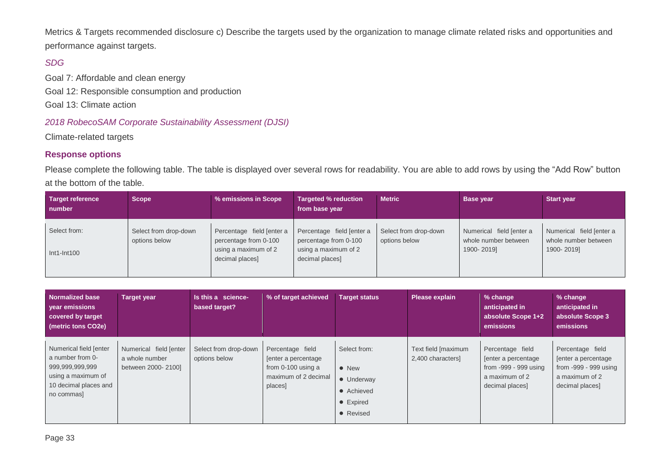Metrics & Targets recommended disclosure c) Describe the targets used by the organization to manage climate related risks and opportunities and performance against targets.

#### *SDG*

Goal 7: Affordable and clean energy Goal 12: Responsible consumption and production Goal 13: Climate action

#### *2018 RobecoSAM Corporate Sustainability Assessment (DJSI)*

Climate-related targets

#### **Response options**

Please complete the following table. The table is displayed over several rows for readability. You are able to add rows by using the "Add Row" button at the bottom of the table.

| Target reference<br>number    | <b>Scope</b>                           | % emissions in Scope                                                                          | <b>Targeted % reduction</b><br>from base year                                                 | <b>Metric</b>                          | <b>Base year</b>                                               | <b>Start year</b>                                              |
|-------------------------------|----------------------------------------|-----------------------------------------------------------------------------------------------|-----------------------------------------------------------------------------------------------|----------------------------------------|----------------------------------------------------------------|----------------------------------------------------------------|
| Select from:<br>$Int1-Int100$ | Select from drop-down<br>options below | Percentage field [enter a<br>percentage from 0-100<br>using a maximum of 2<br>decimal places] | Percentage field [enter a<br>percentage from 0-100<br>using a maximum of 2<br>decimal places] | Select from drop-down<br>options below | Numerical field [enter a<br>whole number between<br>1900-2019] | Numerical field [enter a<br>whole number between<br>1900-2019] |

| <b>Normalized base</b><br>year emissions<br>covered by target<br>(metric tons CO2e)                                        | <b>Target year</b>                                             | Is this a science-<br>based target?    | % of target achieved                                                                               | <b>Target status</b>                                                                        | Please explain                          | % change<br>anticipated in<br>absolute Scope 1+2<br>emissions                                          | % change<br>anticipated in<br>absolute Scope 3<br>emissions                                            |
|----------------------------------------------------------------------------------------------------------------------------|----------------------------------------------------------------|----------------------------------------|----------------------------------------------------------------------------------------------------|---------------------------------------------------------------------------------------------|-----------------------------------------|--------------------------------------------------------------------------------------------------------|--------------------------------------------------------------------------------------------------------|
| Numerical field [enter<br>a number from 0-<br>999,999,999,999<br>using a maximum of<br>10 decimal places and<br>no commas] | Numerical field [enter<br>a whole number<br>between 2000-2100] | Select from drop-down<br>options below | Percentage field<br>fenter a percentage<br>from $0-100$ using a<br>maximum of 2 decimal<br>places] | Select from:<br>$\bullet$ New<br>• Underway<br>• Achieved<br>$\bullet$ Expired<br>• Revised | Text field [maximum<br>2,400 characters | Percentage field<br>[enter a percentage]<br>from -999 - 999 using<br>a maximum of 2<br>decimal places] | Percentage field<br>[enter a percentage]<br>from -999 - 999 using<br>a maximum of 2<br>decimal places] |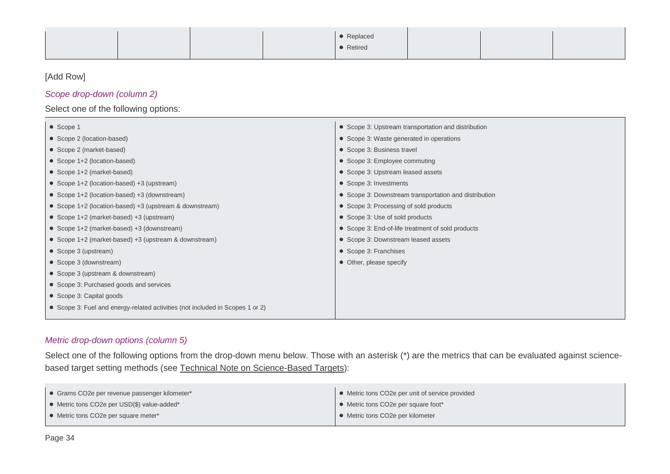|  | • Replaced |  |  |
|--|------------|--|--|
|  | • Retired  |  |  |

#### [Add Row]

#### *Scope drop-down (column 2)*

#### Select one of the following options:

| • Scope 1                                                                     | • Scope 3: Upstream transportation and distribution   |
|-------------------------------------------------------------------------------|-------------------------------------------------------|
| • Scope 2 (location-based)                                                    | • Scope 3: Waste generated in operations              |
| • Scope 2 (market-based)                                                      | • Scope 3: Business travel                            |
| • Scope 1+2 (location-based)                                                  | • Scope 3: Employee commuting                         |
| • Scope 1+2 (market-based)                                                    | • Scope 3: Upstream leased assets                     |
| • Scope 1+2 (location-based) +3 (upstream)                                    | • Scope 3: Investments                                |
| • Scope 1+2 (location-based) +3 (downstream)                                  | • Scope 3: Downstream transportation and distribution |
| • Scope 1+2 (location-based) +3 (upstream & downstream)                       | • Scope 3: Processing of sold products                |
| • Scope 1+2 (market-based) +3 (upstream)                                      | • Scope 3: Use of sold products                       |
| • Scope 1+2 (market-based) +3 (downstream)                                    | • Scope 3: End-of-life treatment of sold products     |
| • Scope 1+2 (market-based) +3 (upstream & downstream)                         | • Scope 3: Downstream leased assets                   |
| • Scope 3 (upstream)                                                          | • Scope 3: Franchises                                 |
| • Scope 3 (downstream)                                                        | • Other, please specify                               |
| • Scope 3 (upstream & downstream)                                             |                                                       |
| • Scope 3: Purchased goods and services                                       |                                                       |
| • Scope 3: Capital goods                                                      |                                                       |
| • Scope 3: Fuel and energy-related activities (not included in Scopes 1 or 2) |                                                       |
|                                                                               |                                                       |

#### *Metric drop-down options (column 5)*

Select one of the following options from the drop-down menu below. Those with an asterisk (\*) are the metrics that can be evaluated against sciencebased target setting methods (see [Technical Note on Science-Based Targets\)](https://b8f65cb373b1b7b15feb-c70d8ead6ced550b4d987d7c03fcdd1d.ssl.cf3.rackcdn.com/cms/guidance_docs/pdfs/000/000/386/original/CDP-technical-note-science-based-targets.pdf?1489587578):

| • Grams CO2e per revenue passenger kilometer* | • Metric tons CO2e per unit of service provided |
|-----------------------------------------------|-------------------------------------------------|
| • Metric tons CO2e per USD(\$) value-added*   | • Metric tons CO2e per square foot*             |
| • Metric tons CO2e per square meter*          | • Metric tons CO2e per kilometer                |
|                                               |                                                 |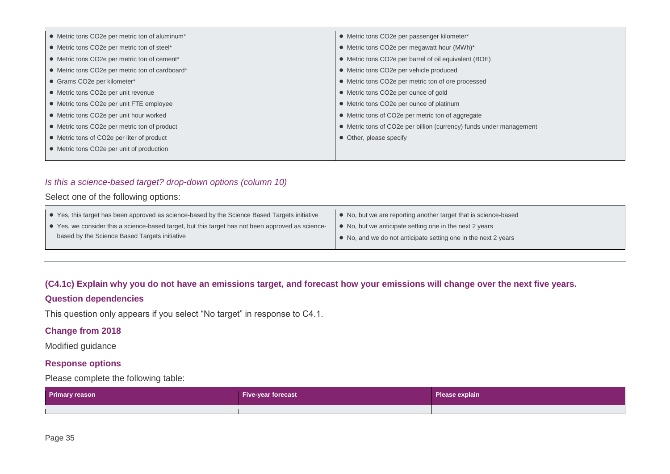| • Metric tons CO2e per metric ton of aluminum*  | • Metric tons CO2e per passenger kilometer*                         |
|-------------------------------------------------|---------------------------------------------------------------------|
| • Metric tons CO2e per metric ton of steel*     | • Metric tons CO2e per megawatt hour (MWh)*                         |
| • Metric tons CO2e per metric ton of cement*    | • Metric tons CO2e per barrel of oil equivalent (BOE)               |
| • Metric tons CO2e per metric ton of cardboard* | • Metric tons CO2e per vehicle produced                             |
| • Grams CO2e per kilometer*                     | • Metric tons CO2e per metric ton of ore processed                  |
| • Metric tons CO2e per unit revenue             | • Metric tons CO2e per ounce of gold                                |
| • Metric tons CO2e per unit FTE employee        | • Metric tons CO2e per ounce of platinum                            |
| • Metric tons CO2e per unit hour worked         | • Metric tons of CO2e per metric ton of aggregate                   |
| • Metric tons CO2e per metric ton of product    | • Metric tons of CO2e per billion (currency) funds under management |
| • Metric tons of CO2e per liter of product      | • Other, please specify                                             |
| • Metric tons CO2e per unit of production       |                                                                     |
|                                                 |                                                                     |

#### *Is this a science-based target? drop-down options (column 10)*

#### Select one of the following options:

| • Yes, this target has been approved as science-based by the Science Based Targets initiative     | • No, but we are reporting another target that is science-based |
|---------------------------------------------------------------------------------------------------|-----------------------------------------------------------------|
| • Yes, we consider this a science-based target, but this target has not been approved as science- | • No, but we anticipate setting one in the next 2 years         |
| based by the Science Based Targets initiative                                                     | • No, and we do not anticipate setting one in the next 2 years  |
|                                                                                                   |                                                                 |

#### **(C4.1c) Explain why you do not have an emissions target, and forecast how your emissions will change over the next five years.**

#### **Question dependencies**

This question only appears if you select "No target" in response to C4.1.

#### **Change from 2018**

Modified guidance

#### **Response options**

Please complete the following table:

| <b>Primary reason</b> | <b>Five-year forecast</b> | Please explain |
|-----------------------|---------------------------|----------------|
|                       |                           |                |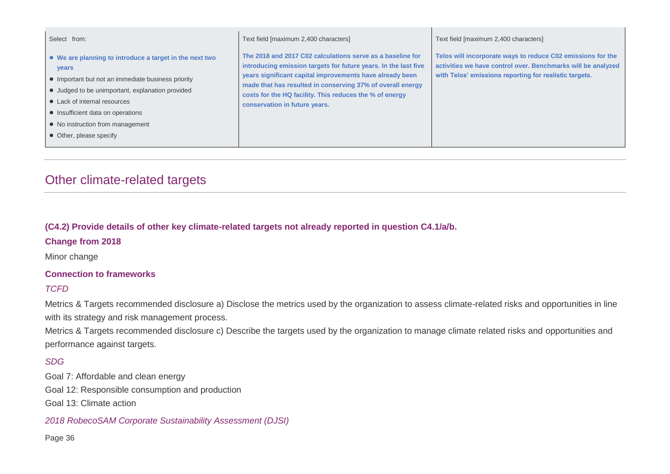| Select from:                                                                                                                                                                                                                                                                                                          | Text field [maximum 2,400 characters]                                                                                                                                                                                                                                                                                                               | Text field [maximum 2,400 characters]                                                                                                                                                 |
|-----------------------------------------------------------------------------------------------------------------------------------------------------------------------------------------------------------------------------------------------------------------------------------------------------------------------|-----------------------------------------------------------------------------------------------------------------------------------------------------------------------------------------------------------------------------------------------------------------------------------------------------------------------------------------------------|---------------------------------------------------------------------------------------------------------------------------------------------------------------------------------------|
| • We are planning to introduce a target in the next two<br><b>vears</b><br>• Important but not an immediate business priority<br>• Judged to be unimportant, explanation provided<br>• Lack of internal resources<br>• Insufficient data on operations<br>• No instruction from management<br>• Other, please specify | The 2018 and 2017 C02 calculations serve as a baseline for<br>introducing emission targets for future years. In the last five<br>years significant capital improvements have already been<br>made that has resulted in conserving 37% of overall energy<br>costs for the HQ facility. This reduces the % of energy<br>conservation in future years. | Telos will incorporate ways to reduce C02 emissions for the<br>activities we have control over. Benchmarks will be analyzed<br>with Telos' emissions reporting for realistic targets. |

# Other climate-related targets

**(C4.2) Provide details of other key climate-related targets not already reported in question C4.1/a/b.**

**Change from 2018**

Minor change

#### **Connection to frameworks**

#### *TCFD*

Metrics & Targets recommended disclosure a) Disclose the metrics used by the organization to assess climate-related risks and opportunities in line with its strategy and risk management process.

Metrics & Targets recommended disclosure c) Describe the targets used by the organization to manage climate related risks and opportunities and performance against targets.

#### *SDG*

Goal 7: Affordable and clean energy Goal 12: Responsible consumption and production Goal 13: Climate action

*2018 RobecoSAM Corporate Sustainability Assessment (DJSI)*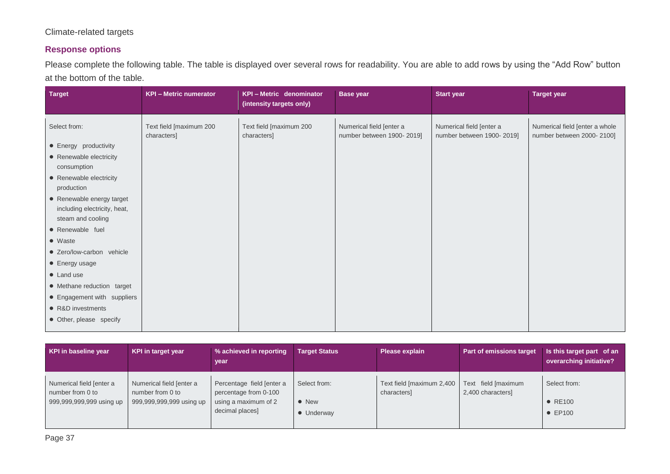#### Climate-related targets

#### **Response options**

Please complete the following table. The table is displayed over several rows for readability. You are able to add rows by using the "Add Row" button at the bottom of the table.

| <b>Target</b>                                                                                                                                                                                                                                                                                                                                                                                                       | <b>KPI - Metric numerator</b>          | <b>KPI-Metric denominator</b><br>(intensity targets only) | <b>Base year</b>                                      | <b>Start year</b>                                     | <b>Target year</b>                                          |
|---------------------------------------------------------------------------------------------------------------------------------------------------------------------------------------------------------------------------------------------------------------------------------------------------------------------------------------------------------------------------------------------------------------------|----------------------------------------|-----------------------------------------------------------|-------------------------------------------------------|-------------------------------------------------------|-------------------------------------------------------------|
| Select from:<br>• Energy productivity<br>• Renewable electricity<br>consumption<br>• Renewable electricity<br>production<br>• Renewable energy target<br>including electricity, heat,<br>steam and cooling<br>• Renewable fuel<br>• Waste<br>• Zero/low-carbon vehicle<br>• Energy usage<br>• Land use<br>• Methane reduction target<br>• Engagement with suppliers<br>• R&D investments<br>• Other, please specify | Text field [maximum 200<br>characters] | Text field [maximum 200<br>characters]                    | Numerical field [enter a<br>number between 1900-2019] | Numerical field [enter a<br>number between 1900-2019] | Numerical field [enter a whole<br>number between 2000-2100] |
|                                                                                                                                                                                                                                                                                                                                                                                                                     |                                        |                                                           |                                                       |                                                       |                                                             |

| KPI in baseline year                         | KPI in target year                           | % achieved in reporting<br>year                    | <b>Target Status</b>        | Please explain                           | <b>Part of emissions target</b>          | Is this target part of an<br>overarching initiative? |
|----------------------------------------------|----------------------------------------------|----------------------------------------------------|-----------------------------|------------------------------------------|------------------------------------------|------------------------------------------------------|
| Numerical field [enter a<br>number from 0 to | Numerical field [enter a<br>number from 0 to | Percentage field [enter a<br>percentage from 0-100 | Select from:                | Text field [maximum 2,400<br>characters] | Text field [maximum<br>2,400 characters] | Select from:                                         |
| 999,999,999,999 using up                     | 999,999,999,999 using up                     | using a maximum of 2<br>decimal places]            | $\bullet$ New<br>• Underway |                                          |                                          | $\bullet$ RE100<br>$\bullet$ EP100                   |
|                                              |                                              |                                                    |                             |                                          |                                          |                                                      |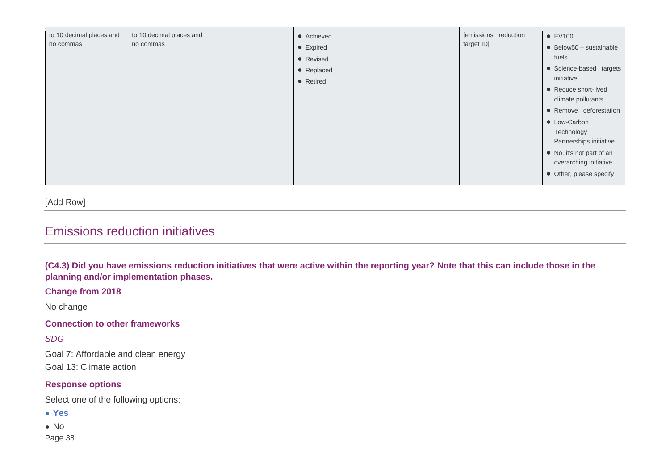| to 10 decimal places and<br>to 10 decimal places and<br>• Achieved<br>no commas<br>no commas<br>• Expired<br>• Revised<br>• Replaced<br>• Retired | target ID] | $\bullet$ Below50 - sustainable<br>fuels<br>• Science-based targets<br>initiative<br>• Reduce short-lived<br>climate pollutants<br>• Remove deforestation<br>• Low-Carbon<br>Technology<br>Partnerships initiative<br>• No, it's not part of an<br>overarching initiative<br>• Other, please specify |
|---------------------------------------------------------------------------------------------------------------------------------------------------|------------|------------------------------------------------------------------------------------------------------------------------------------------------------------------------------------------------------------------------------------------------------------------------------------------------------|
|---------------------------------------------------------------------------------------------------------------------------------------------------|------------|------------------------------------------------------------------------------------------------------------------------------------------------------------------------------------------------------------------------------------------------------------------------------------------------------|

[Add Row]

## Emissions reduction initiatives

**(C4.3) Did you have emissions reduction initiatives that were active within the reporting year? Note that this can include those in the planning and/or implementation phases.**

**Change from 2018**

No change

**Connection to other frameworks**

*SDG*

Goal 7: Affordable and clean energy

Goal 13: Climate action

#### **Response options**

Select one of the following options:

● **Yes**

Page 38 ● No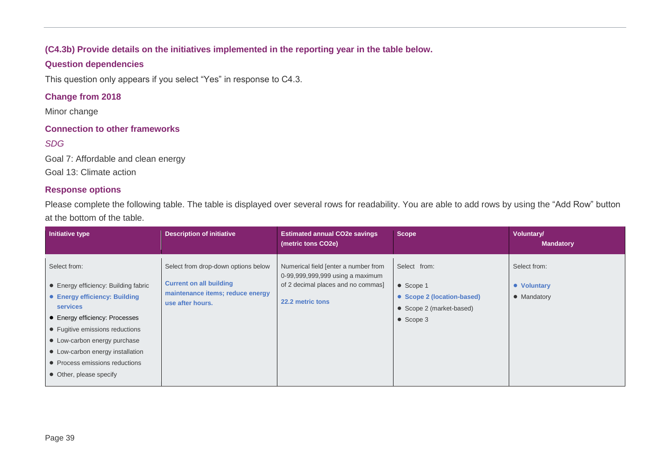#### **(C4.3b) Provide details on the initiatives implemented in the reporting year in the table below.**

#### **Question dependencies**

This question only appears if you select "Yes" in response to C4.3.

#### **Change from 2018**

Minor change

#### **Connection to other frameworks**

#### *SDG*

Goal 7: Affordable and clean energy

Goal 13: Climate action

#### **Response options**

Please complete the following table. The table is displayed over several rows for readability. You are able to add rows by using the "Add Row" button at the bottom of the table.

| Initiative type                                                                                                                                                                                                                                                                                                | <b>Description of initiative</b>                                                                                              | <b>Estimated annual CO2e savings</b><br>(metric tons CO2e)                                                                         | <b>Scope</b>                                                                                     | <b>Voluntary/</b><br><b>Mandatory</b>      |
|----------------------------------------------------------------------------------------------------------------------------------------------------------------------------------------------------------------------------------------------------------------------------------------------------------------|-------------------------------------------------------------------------------------------------------------------------------|------------------------------------------------------------------------------------------------------------------------------------|--------------------------------------------------------------------------------------------------|--------------------------------------------|
| Select from:<br>• Energy efficiency: Building fabric<br>• Energy efficiency: Building<br><b>services</b><br>• Energy efficiency: Processes<br>• Fugitive emissions reductions<br>• Low-carbon energy purchase<br>• Low-carbon energy installation<br>• Process emissions reductions<br>• Other, please specify | Select from drop-down options below<br><b>Current on all building</b><br>maintenance items; reduce energy<br>use after hours. | Numerical field [enter a number from<br>0-99,999,999,999 using a maximum<br>of 2 decimal places and no commas]<br>22.2 metric tons | Select from:<br>• Scope 1<br>• Scope 2 (location-based)<br>• Scope 2 (market-based)<br>• Scope 3 | Select from:<br>• Voluntary<br>• Mandatory |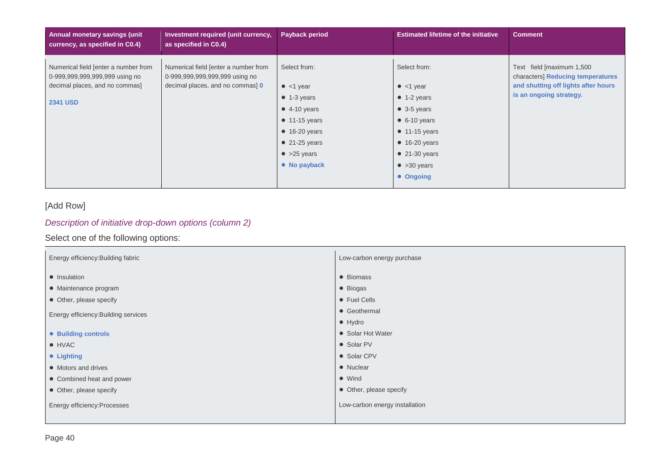| <b>Annual monetary savings (unit</b><br>currency, as specified in C0.4)                                                     | Investment required (unit currency,<br>as specified in C0.4)                                               | Payback period                                                                                                                                                                                     | <b>Estimated lifetime of the initiative</b>                                                                                                                                                                            | <b>Comment</b>                                                                                                                   |
|-----------------------------------------------------------------------------------------------------------------------------|------------------------------------------------------------------------------------------------------------|----------------------------------------------------------------------------------------------------------------------------------------------------------------------------------------------------|------------------------------------------------------------------------------------------------------------------------------------------------------------------------------------------------------------------------|----------------------------------------------------------------------------------------------------------------------------------|
| Numerical field [enter a number from<br>0-999,999,999,999,999 using no<br>decimal places, and no commas]<br><b>2341 USD</b> | Numerical field [enter a number from<br>0-999,999,999,999,999 using no<br>decimal places, and no commas) 0 | Select from:<br>$\bullet$ <1 year<br>$\bullet$ 1-3 years<br>$\bullet$ 4-10 years<br>$\bullet$ 11-15 years<br>$\bullet$ 16-20 years<br>$\bullet$ 21-25 years<br>$\bullet$ >25 years<br>• No payback | Select from:<br>$\bullet$ <1 year<br>$\bullet$ 1-2 years<br>$\bullet$ 3-5 years<br>$\bullet$ 6-10 years<br>$\bullet$ 11-15 years<br>$\bullet$ 16-20 years<br>$\bullet$ 21-30 years<br>$\bullet$ >30 years<br>• Ongoing | Text field [maximum 1,500<br>characters] Reducing temperatures<br>and shutting off lights after hours<br>is an ongoing strategy. |

#### [Add Row]

#### *Description of initiative drop-down options (column 2)*

#### Select one of the following options:

| Energy efficiency: Building fabric   | Low-carbon energy purchase     |  |  |
|--------------------------------------|--------------------------------|--|--|
| • Insulation                         | • Biomass                      |  |  |
| • Maintenance program                | • Biogas                       |  |  |
| • Other, please specify              | • Fuel Cells                   |  |  |
| Energy efficiency: Building services | • Geothermal                   |  |  |
|                                      | $\bullet$ Hydro                |  |  |
| • Building controls                  | • Solar Hot Water              |  |  |
| • HVAC                               | • Solar PV                     |  |  |
| • Lighting                           | • Solar CPV                    |  |  |
| • Motors and drives                  | • Nuclear                      |  |  |
| • Combined heat and power            | $\bullet$ Wind                 |  |  |
| • Other, please specify              | • Other, please specify        |  |  |
| Energy efficiency: Processes         | Low-carbon energy installation |  |  |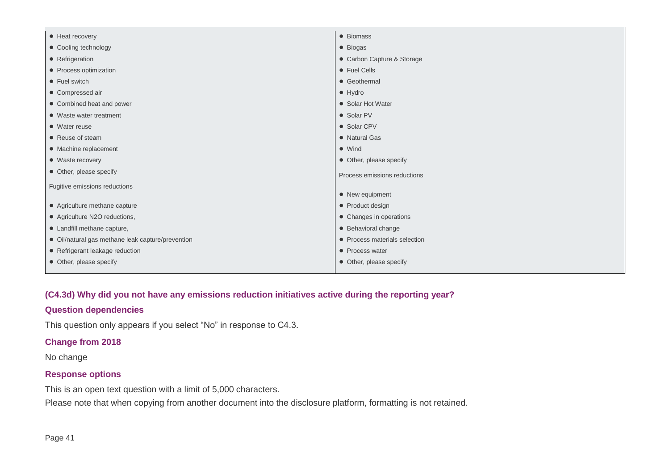| • Heat recovery                                   | • Biomass                     |
|---------------------------------------------------|-------------------------------|
| • Cooling technology                              | · Biogas                      |
| • Refrigeration                                   | • Carbon Capture & Storage    |
| • Process optimization                            | • Fuel Cells                  |
| • Fuel switch                                     | • Geothermal                  |
| • Compressed air                                  | $\bullet$ Hydro               |
| • Combined heat and power                         | • Solar Hot Water             |
| • Waste water treatment                           | • Solar PV                    |
| • Water reuse                                     | • Solar CPV                   |
| • Reuse of steam                                  | • Natural Gas                 |
| • Machine replacement                             | $\bullet$ Wind                |
| • Waste recovery                                  | • Other, please specify       |
| • Other, please specify                           | Process emissions reductions  |
| Fugitive emissions reductions                     |                               |
|                                                   | • New equipment               |
| • Agriculture methane capture                     | • Product design              |
| • Agriculture N2O reductions,                     | • Changes in operations       |
| • Landfill methane capture,                       | • Behavioral change           |
| • Oil/natural gas methane leak capture/prevention | • Process materials selection |
| • Refrigerant leakage reduction                   | • Process water               |
| • Other, please specify                           | • Other, please specify       |
|                                                   |                               |

#### **(C4.3d) Why did you not have any emissions reduction initiatives active during the reporting year?**

#### **Question dependencies**

This question only appears if you select "No" in response to C4.3.

#### **Change from 2018**

No change

#### **Response options**

This is an open text question with a limit of 5,000 characters.

Please note that when copying from another document into the disclosure platform, formatting is not retained.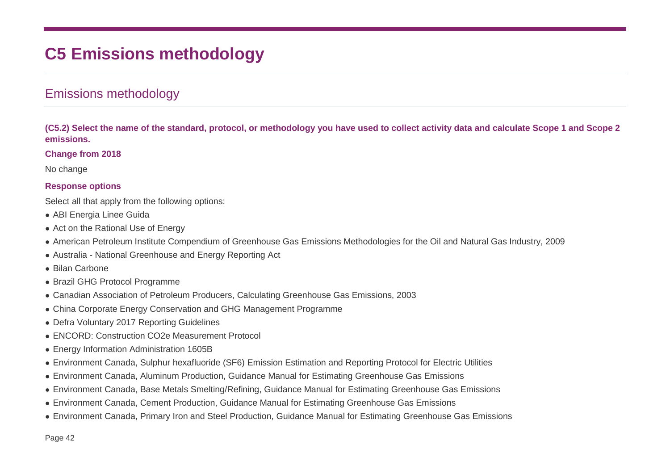# **C5 Emissions methodology**

## Emissions methodology

**(C5.2) Select the name of the standard, protocol, or methodology you have used to collect activity data and calculate Scope 1 and Scope 2 emissions.**

#### **Change from 2018**

No change

#### **Response options**

Select all that apply from the following options:

- ABI Energia Linee Guida
- Act on the Rational Use of Energy
- American Petroleum Institute Compendium of Greenhouse Gas Emissions Methodologies for the Oil and Natural Gas Industry, 2009
- Australia National Greenhouse and Energy Reporting Act
- Bilan Carbone
- Brazil GHG Protocol Programme
- Canadian Association of Petroleum Producers, Calculating Greenhouse Gas Emissions, 2003
- China Corporate Energy Conservation and GHG Management Programme
- Defra Voluntary 2017 Reporting Guidelines
- ENCORD: Construction CO2e Measurement Protocol
- Energy Information Administration 1605B
- Environment Canada, Sulphur hexafluoride (SF6) Emission Estimation and Reporting Protocol for Electric Utilities
- Environment Canada, Aluminum Production, Guidance Manual for Estimating Greenhouse Gas Emissions
- Environment Canada, Base Metals Smelting/Refining, Guidance Manual for Estimating Greenhouse Gas Emissions
- Environment Canada, Cement Production, Guidance Manual for Estimating Greenhouse Gas Emissions
- Environment Canada, Primary Iron and Steel Production, Guidance Manual for Estimating Greenhouse Gas Emissions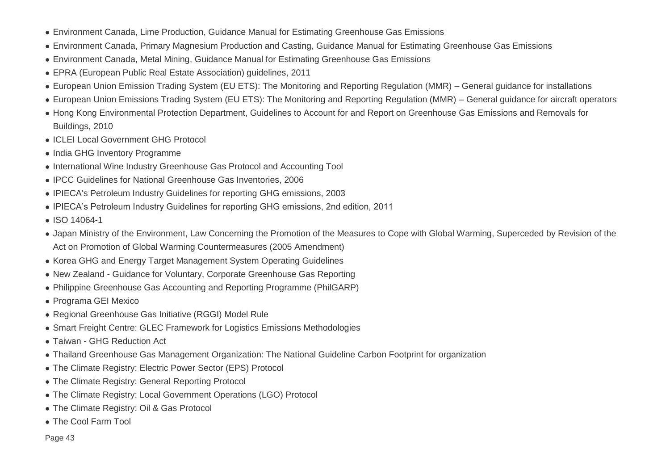- Environment Canada, Lime Production, Guidance Manual for Estimating Greenhouse Gas Emissions
- Environment Canada, Primary Magnesium Production and Casting, Guidance Manual for Estimating Greenhouse Gas Emissions
- Environment Canada, Metal Mining, Guidance Manual for Estimating Greenhouse Gas Emissions
- EPRA (European Public Real Estate Association) guidelines, 2011
- European Union Emission Trading System (EU ETS): The Monitoring and Reporting Regulation (MMR) General guidance for installations
- European Union Emissions Trading System (EU ETS): The Monitoring and Reporting Regulation (MMR) General guidance for aircraft operators
- Hong Kong Environmental Protection Department, Guidelines to Account for and Report on Greenhouse Gas Emissions and Removals for Buildings, 2010
- ICLEI Local Government GHG Protocol
- India GHG Inventory Programme
- International Wine Industry Greenhouse Gas Protocol and Accounting Tool
- IPCC Guidelines for National Greenhouse Gas Inventories, 2006
- IPIECA's Petroleum Industry Guidelines for reporting GHG emissions, 2003
- IPIECA's Petroleum Industry Guidelines for reporting GHG emissions, 2nd edition, 2011
- ISO 14064-1
- Japan Ministry of the Environment, Law Concerning the Promotion of the Measures to Cope with Global Warming, Superceded by Revision of the Act on Promotion of Global Warming Countermeasures (2005 Amendment)
- Korea GHG and Energy Target Management System Operating Guidelines
- New Zealand Guidance for Voluntary, Corporate Greenhouse Gas Reporting
- Philippine Greenhouse Gas Accounting and Reporting Programme (PhilGARP)
- Programa GEI Mexico
- Regional Greenhouse Gas Initiative (RGGI) Model Rule
- Smart Freight Centre: GLEC Framework for Logistics Emissions Methodologies
- Taiwan GHG Reduction Act
- Thailand Greenhouse Gas Management Organization: The National Guideline Carbon Footprint for organization
- The Climate Registry: Electric Power Sector (EPS) Protocol
- The Climate Registry: General Reporting Protocol
- The Climate Registry: Local Government Operations (LGO) Protocol
- The Climate Registry: Oil & Gas Protocol
- The Cool Farm Tool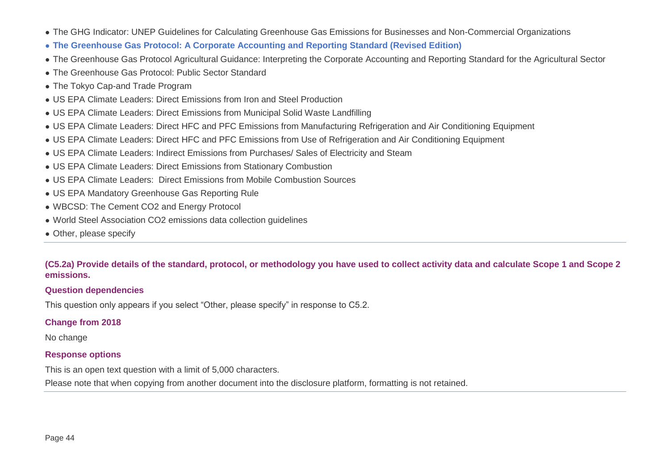- The GHG Indicator: UNEP Guidelines for Calculating Greenhouse Gas Emissions for Businesses and Non-Commercial Organizations
- **The Greenhouse Gas Protocol: A Corporate Accounting and Reporting Standard (Revised Edition)**
- The Greenhouse Gas Protocol Agricultural Guidance: Interpreting the Corporate Accounting and Reporting Standard for the Agricultural Sector
- The Greenhouse Gas Protocol: Public Sector Standard
- The Tokyo Cap-and Trade Program
- US EPA Climate Leaders: Direct Emissions from Iron and Steel Production
- US EPA Climate Leaders: Direct Emissions from Municipal Solid Waste Landfilling
- US EPA Climate Leaders: Direct HFC and PFC Emissions from Manufacturing Refrigeration and Air Conditioning Equipment
- US EPA Climate Leaders: Direct HFC and PFC Emissions from Use of Refrigeration and Air Conditioning Equipment
- US EPA Climate Leaders: Indirect Emissions from Purchases/ Sales of Electricity and Steam
- US EPA Climate Leaders: Direct Emissions from Stationary Combustion
- US EPA Climate Leaders: Direct Emissions from Mobile Combustion Sources
- US EPA Mandatory Greenhouse Gas Reporting Rule
- WBCSD: The Cement CO2 and Energy Protocol
- World Steel Association CO2 emissions data collection quidelines
- Other, please specify

#### **(C5.2a) Provide details of the standard, protocol, or methodology you have used to collect activity data and calculate Scope 1 and Scope 2 emissions.**

#### **Question dependencies**

This question only appears if you select "Other, please specify" in response to C5.2.

#### **Change from 2018**

No change

#### **Response options**

This is an open text question with a limit of 5,000 characters.

Please note that when copying from another document into the disclosure platform, formatting is not retained.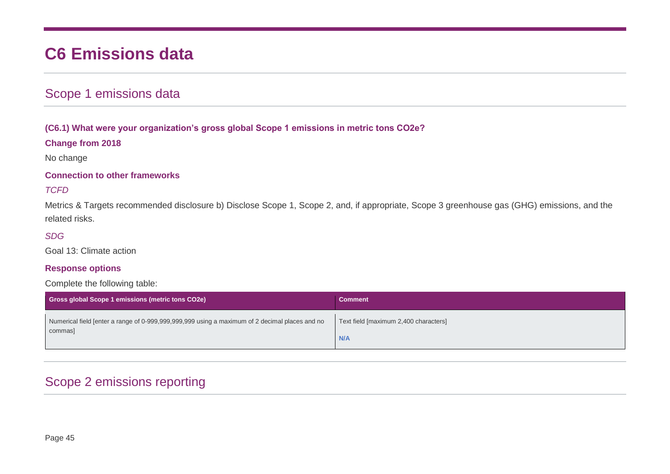# **C6 Emissions data**

# Scope 1 emissions data

#### **(C6.1) What were your organization's gross global Scope 1 emissions in metric tons CO2e?**

#### **Change from 2018**

No change

#### **Connection to other frameworks**

#### *TCFD*

Metrics & Targets recommended disclosure b) Disclose Scope 1, Scope 2, and, if appropriate, Scope 3 greenhouse gas (GHG) emissions, and the related risks.

#### *SDG*

Goal 13: Climate action

#### **Response options**

#### Complete the following table:

| <b>Gross global Scope 1 emissions (metric tons CO2e)</b>                                       | <b>Comment</b>                        |
|------------------------------------------------------------------------------------------------|---------------------------------------|
| Numerical field [enter a range of 0-999,999,999,999 using a maximum of 2 decimal places and no | Text field [maximum 2,400 characters] |
| commas]                                                                                        | N/A                                   |

# Scope 2 emissions reporting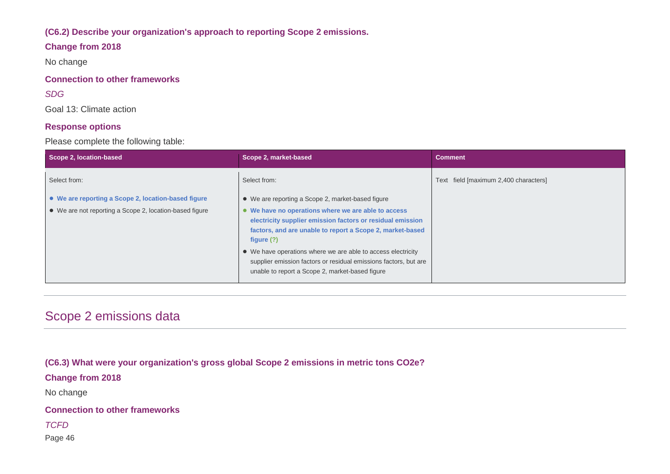#### **(C6.2) Describe your organization's approach to reporting Scope 2 emissions.**

#### **Change from 2018**

No change

#### **Connection to other frameworks**

#### *SDG*

Goal 13: Climate action

#### **Response options**

Please complete the following table:

| Scope 2, location-based                                 | Scope 2, market-based                                                                                                                                                                          | <b>Comment</b>                        |
|---------------------------------------------------------|------------------------------------------------------------------------------------------------------------------------------------------------------------------------------------------------|---------------------------------------|
| Select from:                                            | Select from:                                                                                                                                                                                   | Text field [maximum 2,400 characters] |
| • We are reporting a Scope 2, location-based figure     | • We are reporting a Scope 2, market-based figure                                                                                                                                              |                                       |
| • We are not reporting a Scope 2, location-based figure | • We have no operations where we are able to access<br>electricity supplier emission factors or residual emission<br>factors, and are unable to report a Scope 2, market-based<br>figure $(?)$ |                                       |
|                                                         | • We have operations where we are able to access electricity<br>supplier emission factors or residual emissions factors, but are<br>unable to report a Scope 2, market-based figure            |                                       |

# Scope 2 emissions data

**(C6.3) What were your organization's gross global Scope 2 emissions in metric tons CO2e?**

**Change from 2018**

No change

**Connection to other frameworks**

*TCFD*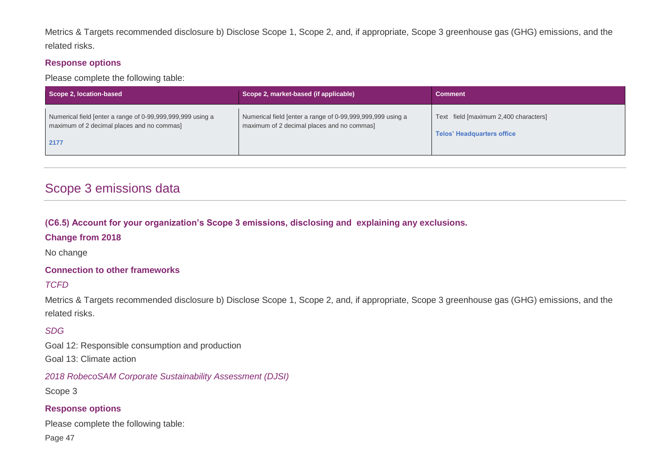Metrics & Targets recommended disclosure b) Disclose Scope 1, Scope 2, and, if appropriate, Scope 3 greenhouse gas (GHG) emissions, and the related risks.

#### **Response options**

Please complete the following table:

| Scope 2, location-based                                                                                          | Scope 2, market-based (if applicable)                                                                    | <b>Comment</b>                                                             |
|------------------------------------------------------------------------------------------------------------------|----------------------------------------------------------------------------------------------------------|----------------------------------------------------------------------------|
| Numerical field [enter a range of 0-99,999,999,999 using a<br>maximum of 2 decimal places and no commas]<br>2177 | Numerical field [enter a range of 0-99,999,999,999 using a<br>maximum of 2 decimal places and no commas] | Text field [maximum 2,400 characters]<br><b>Telos' Headquarters office</b> |

# Scope 3 emissions data

**(C6.5) Account for your organization's Scope 3 emissions, disclosing and explaining any exclusions.**

#### **Change from 2018**

No change

#### **Connection to other frameworks**

#### *TCFD*

Metrics & Targets recommended disclosure b) Disclose Scope 1, Scope 2, and, if appropriate, Scope 3 greenhouse gas (GHG) emissions, and the related risks.

#### *SDG*

Goal 12: Responsible consumption and production

Goal 13: Climate action

*2018 RobecoSAM Corporate Sustainability Assessment (DJSI)*

Scope 3

#### **Response options**

Please complete the following table: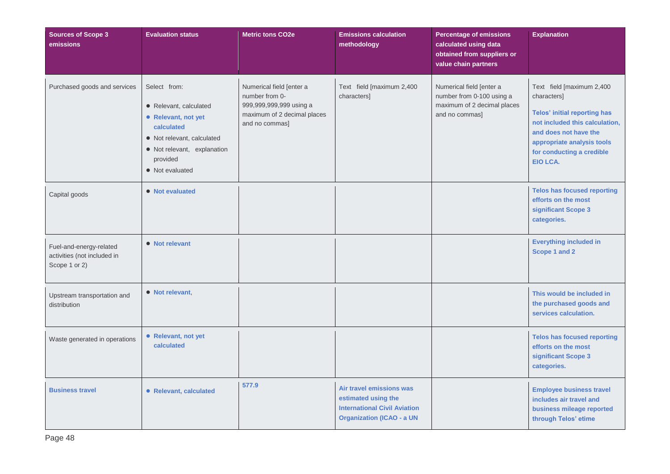| <b>Sources of Scope 3</b><br>emissions                                                   | <b>Evaluation status</b>                                                                                                                                                | <b>Metric tons CO2e</b>                                                                                                | <b>Emissions calculation</b><br>methodology                                                                                | <b>Percentage of emissions</b><br>calculated using data<br>obtained from suppliers or<br>value chain partners | <b>Explanation</b>                                                                                                                                                                                                       |
|------------------------------------------------------------------------------------------|-------------------------------------------------------------------------------------------------------------------------------------------------------------------------|------------------------------------------------------------------------------------------------------------------------|----------------------------------------------------------------------------------------------------------------------------|---------------------------------------------------------------------------------------------------------------|--------------------------------------------------------------------------------------------------------------------------------------------------------------------------------------------------------------------------|
| Purchased goods and services                                                             | Select from:<br>• Relevant, calculated<br>• Relevant, not yet<br>calculated<br>• Not relevant, calculated<br>· Not relevant, explanation<br>provided<br>• Not evaluated | Numerical field [enter a<br>number from 0-<br>999,999,999,999 using a<br>maximum of 2 decimal places<br>and no commas] | Text field [maximum 2,400<br>characters]                                                                                   | Numerical field [enter a<br>number from 0-100 using a<br>maximum of 2 decimal places<br>and no commas]        | Text field [maximum 2,400<br>characters]<br><b>Telos' initial reporting has</b><br>not included this calculation,<br>and does not have the<br>appropriate analysis tools<br>for conducting a credible<br><b>EIO LCA.</b> |
| Capital goods<br>Fuel-and-energy-related<br>activities (not included in<br>Scope 1 or 2) | • Not evaluated<br>• Not relevant                                                                                                                                       |                                                                                                                        |                                                                                                                            |                                                                                                               | <b>Telos has focused reporting</b><br>efforts on the most<br>significant Scope 3<br>categories.<br><b>Everything included in</b><br>Scope 1 and 2                                                                        |
| Upstream transportation and<br>distribution                                              | • Not relevant,                                                                                                                                                         |                                                                                                                        |                                                                                                                            |                                                                                                               | This would be included in<br>the purchased goods and<br>services calculation.                                                                                                                                            |
| Waste generated in operations                                                            | • Relevant, not yet<br>calculated                                                                                                                                       |                                                                                                                        |                                                                                                                            |                                                                                                               | <b>Telos has focused reporting</b><br>efforts on the most<br>significant Scope 3<br>categories.                                                                                                                          |
| <b>Business travel</b>                                                                   | • Relevant, calculated                                                                                                                                                  | 577.9                                                                                                                  | Air travel emissions was<br>estimated using the<br><b>International Civil Aviation</b><br><b>Organization (ICAO - a UN</b> |                                                                                                               | <b>Employee business travel</b><br>includes air travel and<br>business mileage reported<br>through Telos' etime                                                                                                          |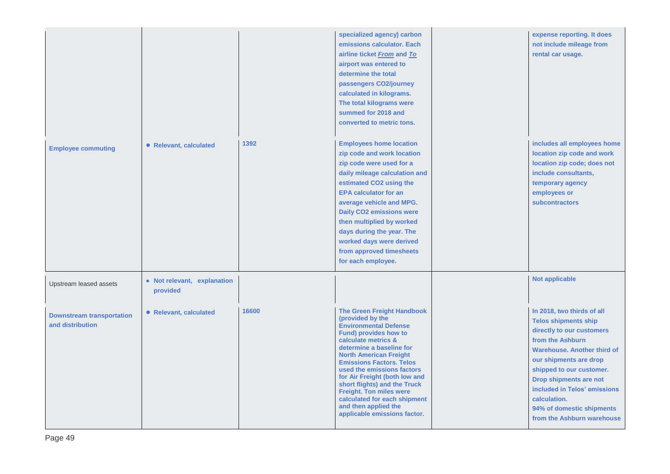|                                                      |                                         |       | specialized agency) carbon<br>emissions calculator. Each<br>airline ticket From and To<br>airport was entered to<br>determine the total<br>passengers CO2/journey<br>calculated in kilograms.<br>The total kilograms were<br>summed for 2018 and<br>converted to metric tons.                                                                                                                                                                                  | expense reporting. It does<br>not include mileage from<br>rental car usage.                                                                                                                                                                                                                                                                 |
|------------------------------------------------------|-----------------------------------------|-------|----------------------------------------------------------------------------------------------------------------------------------------------------------------------------------------------------------------------------------------------------------------------------------------------------------------------------------------------------------------------------------------------------------------------------------------------------------------|---------------------------------------------------------------------------------------------------------------------------------------------------------------------------------------------------------------------------------------------------------------------------------------------------------------------------------------------|
| <b>Employee commuting</b>                            | • Relevant, calculated                  | 1392  | <b>Employees home location</b><br>zip code and work location<br>zip code were used for a<br>daily mileage calculation and<br>estimated CO2 using the<br><b>EPA calculator for an</b><br>average vehicle and MPG.<br><b>Daily CO2 emissions were</b><br>then multiplied by worked<br>days during the year. The<br>worked days were derived<br>from approved timesheets<br>for each employee.                                                                    | includes all employees home<br>location zip code and work<br>location zip code; does not<br>include consultants,<br>temporary agency<br>employees or<br>subcontractors                                                                                                                                                                      |
| Upstream leased assets                               | • Not relevant, explanation<br>provided |       |                                                                                                                                                                                                                                                                                                                                                                                                                                                                | <b>Not applicable</b>                                                                                                                                                                                                                                                                                                                       |
| <b>Downstream transportation</b><br>and distribution | • Relevant, calculated                  | 16600 | <b>The Green Freight Handbook</b><br>(provided by the<br><b>Environmental Defense</b><br><b>Fund) provides how to</b><br>calculate metrics &<br>determine a baseline for<br><b>North American Freight</b><br><b>Emissions Factors. Telos</b><br>used the emissions factors<br>for Air Freight (both low and<br>short flights) and the Truck<br>Freight. Ton miles were<br>calculated for each shipment<br>and then applied the<br>applicable emissions factor. | In 2018, two thirds of all<br><b>Telos shipments ship</b><br>directly to our customers<br>from the Ashburn<br><b>Warehouse, Another third of</b><br>our shipments are drop<br>shipped to our customer.<br>Drop shipments are not<br>included in Telos' emissions<br>calculation.<br>94% of domestic shipments<br>from the Ashburn warehouse |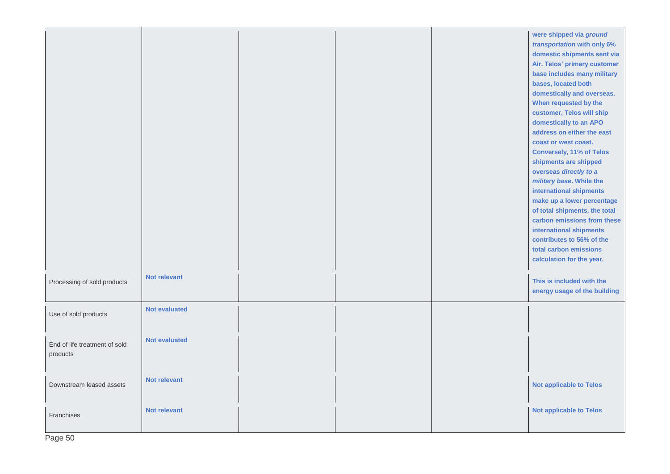|                                           |                      |  | were shipped via ground<br>transportation with only 6%<br>domestic shipments sent via<br>Air. Telos' primary customer<br>base includes many military<br>bases, located both<br>domestically and overseas.<br>When requested by the<br>customer, Telos will ship<br>domestically to an APO<br>address on either the east<br>coast or west coast.<br><b>Conversely, 11% of Telos</b><br>shipments are shipped<br>overseas directly to a<br>military base. While the<br>international shipments<br>make up a lower percentage<br>of total shipments, the total<br>carbon emissions from these<br>international shipments<br>contributes to 56% of the<br>total carbon emissions<br>calculation for the year. |
|-------------------------------------------|----------------------|--|-----------------------------------------------------------------------------------------------------------------------------------------------------------------------------------------------------------------------------------------------------------------------------------------------------------------------------------------------------------------------------------------------------------------------------------------------------------------------------------------------------------------------------------------------------------------------------------------------------------------------------------------------------------------------------------------------------------|
| Processing of sold products               | Not relevant         |  | This is included with the<br>energy usage of the building                                                                                                                                                                                                                                                                                                                                                                                                                                                                                                                                                                                                                                                 |
| Use of sold products                      | <b>Not evaluated</b> |  |                                                                                                                                                                                                                                                                                                                                                                                                                                                                                                                                                                                                                                                                                                           |
| End of life treatment of sold<br>products | <b>Not evaluated</b> |  |                                                                                                                                                                                                                                                                                                                                                                                                                                                                                                                                                                                                                                                                                                           |
| Downstream leased assets                  | <b>Not relevant</b>  |  | <b>Not applicable to Telos</b>                                                                                                                                                                                                                                                                                                                                                                                                                                                                                                                                                                                                                                                                            |
| Franchises                                | <b>Not relevant</b>  |  | <b>Not applicable to Telos</b>                                                                                                                                                                                                                                                                                                                                                                                                                                                                                                                                                                                                                                                                            |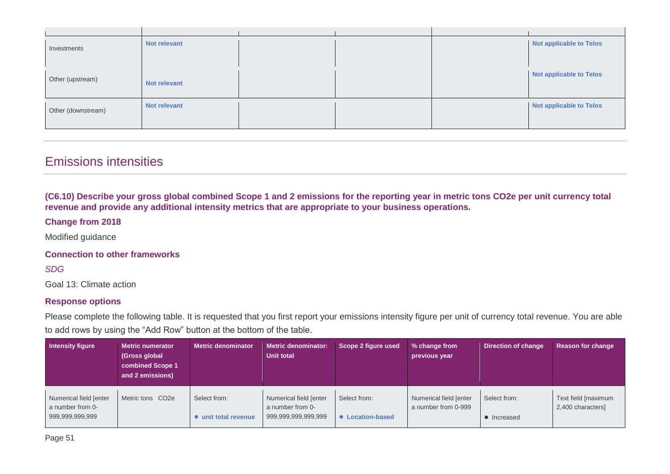| Investments        | Not relevant |  | <b>Not applicable to Telos</b> |
|--------------------|--------------|--|--------------------------------|
| Other (upstream)   | Not relevant |  | <b>Not applicable to Telos</b> |
| Other (downstream) | Not relevant |  | <b>Not applicable to Telos</b> |

# Emissions intensities

**(C6.10) Describe your gross global combined Scope 1 and 2 emissions for the reporting year in metric tons CO2e per unit currency total revenue and provide any additional intensity metrics that are appropriate to your business operations.**

#### **Change from 2018**

Modified guidance

#### **Connection to other frameworks**

*SDG*

Goal 13: Climate action

#### **Response options**

Please complete the following table. It is requested that you first report your emissions intensity figure per unit of currency total revenue. You are able to add rows by using the "Add Row" button at the bottom of the table.

| Intensity figure                                              | Metric numerator<br>(Gross global)<br>combined Scope 1<br>and 2 emissions) | <b>Metric denominator</b>            | <b>Metric denominator:</b><br>Unit total                          | Scope 2 figure used              | % change from<br>previous year                | Direction of change         | <b>Reason for change</b>                 |
|---------------------------------------------------------------|----------------------------------------------------------------------------|--------------------------------------|-------------------------------------------------------------------|----------------------------------|-----------------------------------------------|-----------------------------|------------------------------------------|
| Numerical field [enter<br>a number from 0-<br>999,999,999,999 | Metric tons CO2e                                                           | Select from:<br>• unit total revenue | Numerical field [enter<br>a number from 0-<br>999,999,999,999,999 | Select from:<br>• Location-based | Numerical field [enter<br>a number from 0-999 | Select from:<br>• Increased | Text field [maximum<br>2,400 characters] |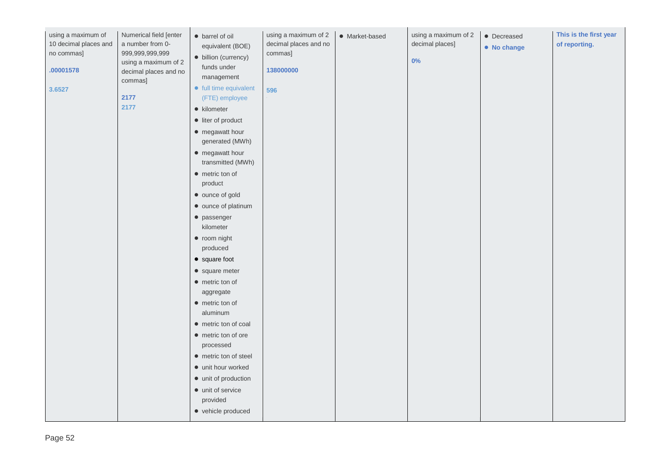| using a maximum of<br>10 decimal places and<br>no commas]<br>.00001578<br>3.6527 | Numerical field [enter<br>a number from 0-<br>999,999,999,999<br>using a maximum of 2<br>decimal places and no<br>commas]<br>2177<br>2177 | · barrel of oil<br>equivalent (BOE)<br>· billion (currency)<br>funds under<br>management<br>• full time equivalent<br>(FTE) employee<br>• kilometer<br>• liter of product<br>• megawatt hour<br>generated (MWh)<br>• megawatt hour<br>transmitted (MWh)<br>$\bullet$ metric ton of<br>product<br>• ounce of gold<br>• ounce of platinum<br>$\bullet$ passenger<br>kilometer<br>• room night<br>produced<br>$\bullet$ square foot<br>• square meter<br>• metric ton of<br>aggregate<br>$\bullet$ metric ton of<br>aluminum<br>• metric ton of coal<br>• metric ton of ore<br>processed<br>• metric ton of steel<br>• unit hour worked<br>• unit of production<br>$\bullet$ unit of service<br>provided<br>• vehicle produced | using a maximum of 2<br>decimal places and no<br>commas]<br>138000000<br>596 | • Market-based | using a maximum of 2<br>decimal places]<br>0% | • Decreased<br>• No change | This is the first year<br>of reporting. |
|----------------------------------------------------------------------------------|-------------------------------------------------------------------------------------------------------------------------------------------|-----------------------------------------------------------------------------------------------------------------------------------------------------------------------------------------------------------------------------------------------------------------------------------------------------------------------------------------------------------------------------------------------------------------------------------------------------------------------------------------------------------------------------------------------------------------------------------------------------------------------------------------------------------------------------------------------------------------------------|------------------------------------------------------------------------------|----------------|-----------------------------------------------|----------------------------|-----------------------------------------|
|----------------------------------------------------------------------------------|-------------------------------------------------------------------------------------------------------------------------------------------|-----------------------------------------------------------------------------------------------------------------------------------------------------------------------------------------------------------------------------------------------------------------------------------------------------------------------------------------------------------------------------------------------------------------------------------------------------------------------------------------------------------------------------------------------------------------------------------------------------------------------------------------------------------------------------------------------------------------------------|------------------------------------------------------------------------------|----------------|-----------------------------------------------|----------------------------|-----------------------------------------|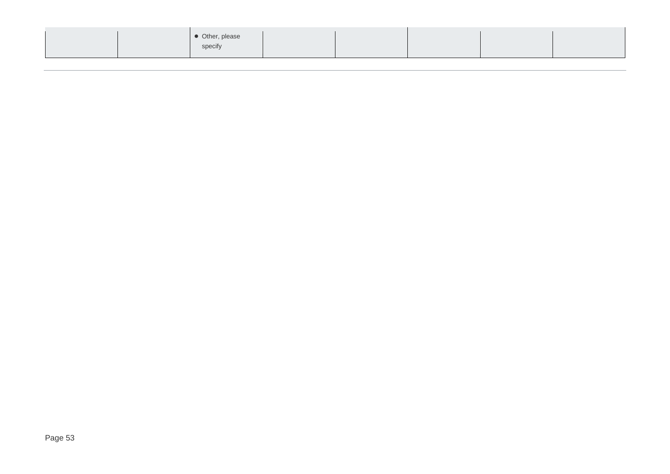|--|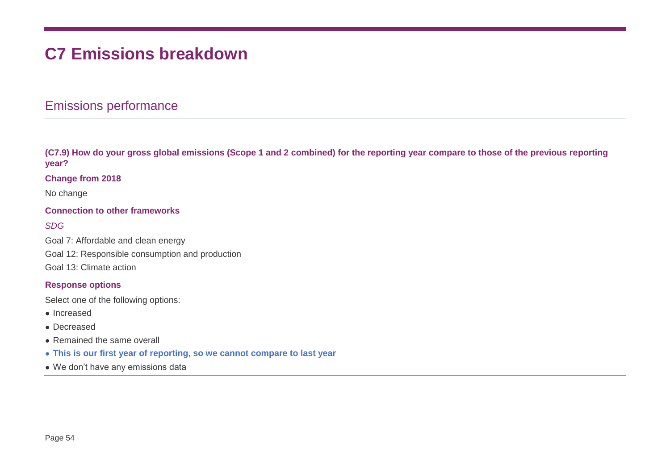# **C7 Emissions breakdown**

## Emissions performance

**(C7.9) How do your gross global emissions (Scope 1 and 2 combined) for the reporting year compare to those of the previous reporting year?**

#### **Change from 2018**

No change

#### **Connection to other frameworks**

#### *SDG*

Goal 7: Affordable and clean energy Goal 12: Responsible consumption and production Goal 13: Climate action

#### **Response options**

Select one of the following options:

- Increased
- Decreased
- Remained the same overall
- **This is our first year of reporting, so we cannot compare to last year**
- We don't have any emissions data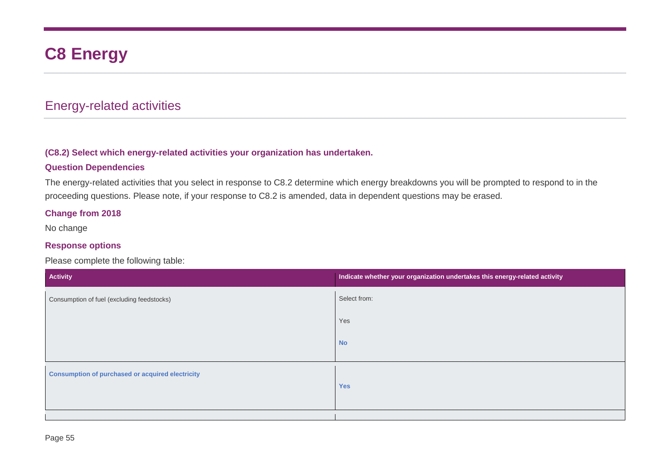# **C8 Energy**

## Energy-related activities

#### **(C8.2) Select which energy-related activities your organization has undertaken.**

#### **Question Dependencies**

The energy-related activities that you select in response to C8.2 determine which energy breakdowns you will be prompted to respond to in the proceeding questions. Please note, if your response to C8.2 is amended, data in dependent questions may be erased.

#### **Change from 2018**

No change

#### **Response options**

Please complete the following table:

| Activity                                                | Indicate whether your organization undertakes this energy-related activity |
|---------------------------------------------------------|----------------------------------------------------------------------------|
| Consumption of fuel (excluding feedstocks)              | Select from:                                                               |
|                                                         | Yes                                                                        |
|                                                         | <b>No</b>                                                                  |
| <b>Consumption of purchased or acquired electricity</b> | <b>Yes</b>                                                                 |
|                                                         |                                                                            |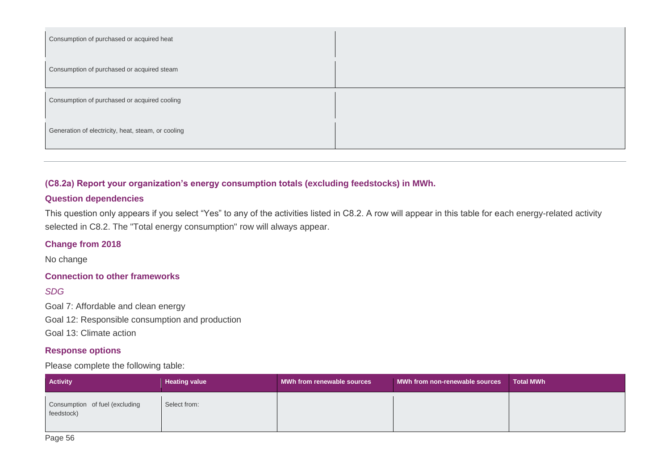| Consumption of purchased or acquired heat          |  |
|----------------------------------------------------|--|
| Consumption of purchased or acquired steam         |  |
| Consumption of purchased or acquired cooling       |  |
| Generation of electricity, heat, steam, or cooling |  |

#### **(C8.2a) Report your organization's energy consumption totals (excluding feedstocks) in MWh.**

#### **Question dependencies**

This question only appears if you select "Yes" to any of the activities listed in C8.2. A row will appear in this table for each energy-related activity selected in C8.2. The "Total energy consumption" row will always appear.

#### **Change from 2018**

No change

#### **Connection to other frameworks**

#### *SDG*

Goal 7: Affordable and clean energy Goal 12: Responsible consumption and production Goal 13: Climate action

#### **Response options**

#### Please complete the following table:

| <b>Activity</b>                              | <b>Heating value</b> | MWh from renewable sources | MWh from non-renewable sources | <b>Total MWh</b> |
|----------------------------------------------|----------------------|----------------------------|--------------------------------|------------------|
| Consumption of fuel (excluding<br>feedstock) | Select from:         |                            |                                |                  |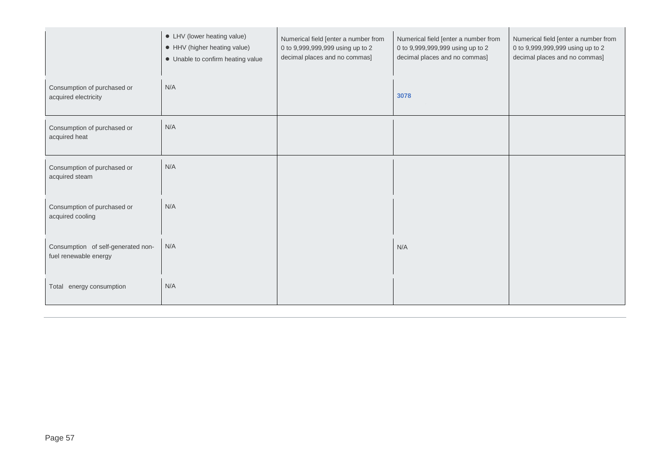|                                                             | • LHV (lower heating value)<br>• HHV (higher heating value)<br>• Unable to confirm heating value | Numerical field [enter a number from<br>0 to 9,999,999,999 using up to 2<br>decimal places and no commas] | Numerical field [enter a number from<br>0 to 9,999,999,999 using up to 2<br>decimal places and no commas] | Numerical field [enter a number from<br>0 to 9,999,999,999 using up to 2<br>decimal places and no commas] |
|-------------------------------------------------------------|--------------------------------------------------------------------------------------------------|-----------------------------------------------------------------------------------------------------------|-----------------------------------------------------------------------------------------------------------|-----------------------------------------------------------------------------------------------------------|
| Consumption of purchased or<br>acquired electricity         | N/A                                                                                              |                                                                                                           | 3078                                                                                                      |                                                                                                           |
| Consumption of purchased or<br>acquired heat                | N/A                                                                                              |                                                                                                           |                                                                                                           |                                                                                                           |
| Consumption of purchased or<br>acquired steam               | N/A                                                                                              |                                                                                                           |                                                                                                           |                                                                                                           |
| Consumption of purchased or<br>acquired cooling             | N/A                                                                                              |                                                                                                           |                                                                                                           |                                                                                                           |
| Consumption of self-generated non-<br>fuel renewable energy | N/A                                                                                              |                                                                                                           | N/A                                                                                                       |                                                                                                           |
| Total energy consumption                                    | N/A                                                                                              |                                                                                                           |                                                                                                           |                                                                                                           |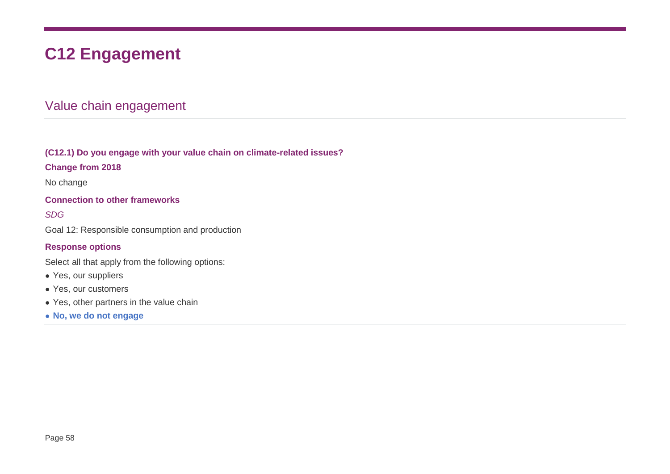# **C12 Engagement**

# Value chain engagement

#### **(C12.1) Do you engage with your value chain on climate-related issues?**

#### **Change from 2018**

No change

#### **Connection to other frameworks**

#### *SDG*

Goal 12: Responsible consumption and production

#### **Response options**

Select all that apply from the following options:

- Yes, our suppliers
- Yes, our customers
- Yes, other partners in the value chain
- **No, we do not engage**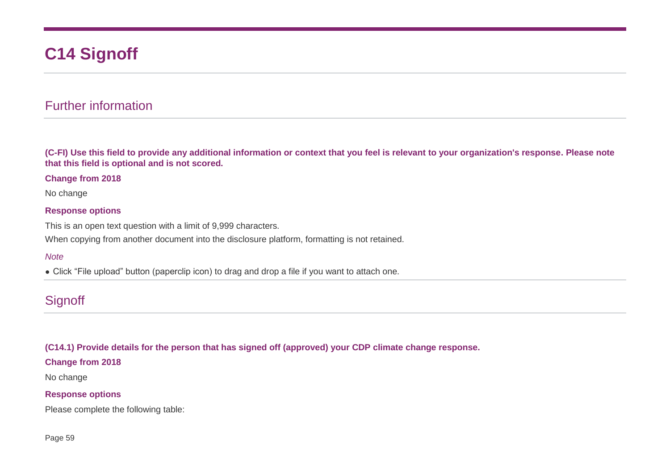# **C14 Signoff**

## Further information

**(C-FI) Use this field to provide any additional information or context that you feel is relevant to your organization's response. Please note that this field is optional and is not scored.**

#### **Change from 2018**

No change

#### **Response options**

This is an open text question with a limit of 9,999 characters. When copying from another document into the disclosure platform, formatting is not retained.

#### *Note*

• Click "File upload" button (paperclip icon) to drag and drop a file if you want to attach one.

## **Signoff**

#### **(C14.1) Provide details for the person that has signed off (approved) your CDP climate change response.**

#### **Change from 2018**

No change

#### **Response options**

Please complete the following table: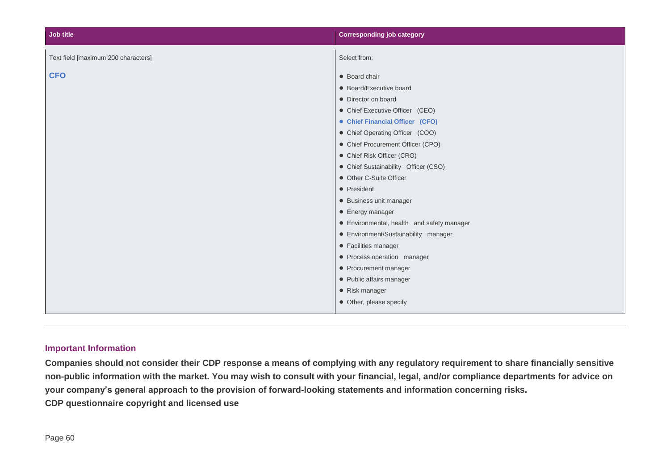| Job title                           | <b>Corresponding job category</b>          |
|-------------------------------------|--------------------------------------------|
| Text field [maximum 200 characters] | Select from:                               |
| <b>CFO</b>                          | • Board chair                              |
|                                     | • Board/Executive board                    |
|                                     | • Director on board                        |
|                                     | • Chief Executive Officer (CEO)            |
|                                     | • Chief Financial Officer (CFO)            |
|                                     | • Chief Operating Officer (COO)            |
|                                     | • Chief Procurement Officer (CPO)          |
|                                     | • Chief Risk Officer (CRO)                 |
|                                     | • Chief Sustainability Officer (CSO)       |
|                                     | • Other C-Suite Officer                    |
|                                     | • President                                |
|                                     | • Business unit manager                    |
|                                     | • Energy manager                           |
|                                     | • Environmental, health and safety manager |
|                                     | • Environment/Sustainability manager       |
|                                     | • Facilities manager                       |
|                                     | • Process operation manager                |
|                                     | • Procurement manager                      |
|                                     | • Public affairs manager                   |
|                                     | • Risk manager                             |
|                                     | • Other, please specify                    |

#### **Important Information**

**Companies should not consider their CDP response a means of complying with any regulatory requirement to share financially sensitive non-public information with the market. You may wish to consult with your financial, legal, and/or compliance departments for advice on your company's general approach to the provision of forward-looking statements and information concerning risks. CDP questionnaire copyright and licensed use**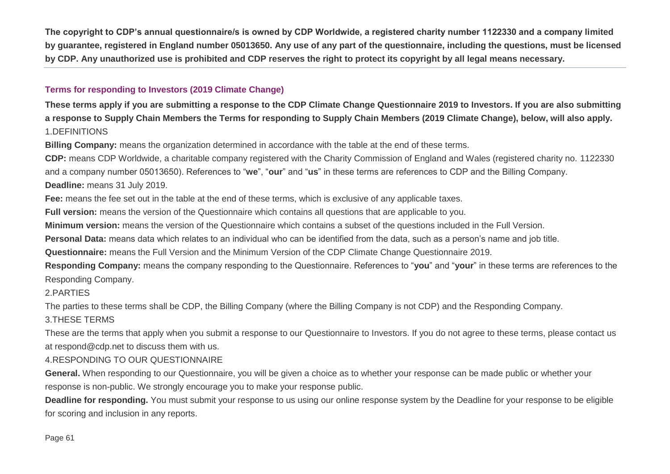**The copyright to CDP's annual questionnaire/s is owned by CDP Worldwide, a registered charity number 1122330 and a company limited by guarantee, registered in England number 05013650. Any use of any part of the questionnaire, including the questions, must be licensed by CDP. Any unauthorized use is prohibited and CDP reserves the right to protect its copyright by all legal means necessary.**

#### **Terms for responding to Investors (2019 Climate Change)**

**These terms apply if you are submitting a response to the CDP Climate Change Questionnaire 2019 to Investors. If you are also submitting a response to Supply Chain Members the Terms for responding to Supply Chain Members (2019 Climate Change), below, will also apply.** 1.DEFINITIONS

**Billing Company:** means the organization determined in accordance with the table at the end of these terms.

**CDP:** means CDP Worldwide, a charitable company registered with the Charity Commission of England and Wales (registered charity no. 1122330 and a company number 05013650). References to "**we**", "**our**" and "**us**" in these terms are references to CDP and the Billing Company.

**Deadline:** means 31 July 2019.

**Fee:** means the fee set out in the table at the end of these terms, which is exclusive of any applicable taxes.

**Full version:** means the version of the Questionnaire which contains all questions that are applicable to you.

**Minimum version:** means the version of the Questionnaire which contains a subset of the questions included in the Full Version.

**Personal Data:** means data which relates to an individual who can be identified from the data, such as a person's name and job title.

**Questionnaire:** means the Full Version and the Minimum Version of the CDP Climate Change Questionnaire 2019.

**Responding Company:** means the company responding to the Questionnaire. References to "**you**" and "**your**" in these terms are references to the Responding Company.

2.PARTIES

The parties to these terms shall be CDP, the Billing Company (where the Billing Company is not CDP) and the Responding Company.

#### 3.THESE TERMS

These are the terms that apply when you submit a response to our Questionnaire to Investors. If you do not agree to these terms, please contact us at respond@cdp.net to discuss them with us.

#### 4.RESPONDING TO OUR QUESTIONNAIRE

**General.** When responding to our Questionnaire, you will be given a choice as to whether your response can be made public or whether your response is non-public. We strongly encourage you to make your response public.

**Deadline for responding.** You must submit your response to us using our online response system by the Deadline for your response to be eligible for scoring and inclusion in any reports.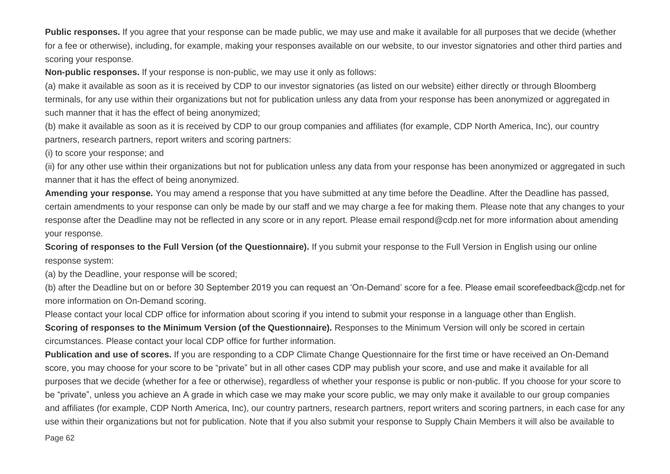**Public responses.** If you agree that your response can be made public, we may use and make it available for all purposes that we decide (whether for a fee or otherwise), including, for example, making your responses available on our website, to our investor signatories and other third parties and scoring your response.

**Non-public responses.** If your response is non-public, we may use it only as follows:

(a) make it available as soon as it is received by CDP to our investor signatories (as listed on our website) either directly or through Bloomberg terminals, for any use within their organizations but not for publication unless any data from your response has been anonymized or aggregated in such manner that it has the effect of being anonymized;

(b) make it available as soon as it is received by CDP to our group companies and affiliates (for example, CDP North America, Inc), our country partners, research partners, report writers and scoring partners:

(i) to score your response; and

(ii) for any other use within their organizations but not for publication unless any data from your response has been anonymized or aggregated in such manner that it has the effect of being anonymized.

Amending your response. You may amend a response that you have submitted at any time before the Deadline. After the Deadline has passed, certain amendments to your response can only be made by our staff and we may charge a fee for making them. Please note that any changes to your response after the Deadline may not be reflected in any score or in any report. Please email respond@cdp.net for more information about amending your response.

**Scoring of responses to the Full Version (of the Questionnaire).** If you submit your response to the Full Version in English using our online response system:

(a) by the Deadline, your response will be scored;

(b) after the Deadline but on or before 30 September 2019 you can request an 'On-Demand' score for a fee. Please email scorefeedback@cdp.net for more information on On-Demand scoring.

Please contact your local CDP office for information about scoring if you intend to submit your response in a language other than English. **Scoring of responses to the Minimum Version (of the Questionnaire).** Responses to the Minimum Version will only be scored in certain circumstances. Please contact your local CDP office for further information.

**Publication and use of scores.** If you are responding to a CDP Climate Change Questionnaire for the first time or have received an On-Demand score, you may choose for your score to be "private" but in all other cases CDP may publish your score, and use and make it available for all purposes that we decide (whether for a fee or otherwise), regardless of whether your response is public or non-public. If you choose for your score to be "private", unless you achieve an A grade in which case we may make your score public, we may only make it available to our group companies and affiliates (for example, CDP North America, Inc), our country partners, research partners, report writers and scoring partners, in each case for any use within their organizations but not for publication. Note that if you also submit your response to Supply Chain Members it will also be available to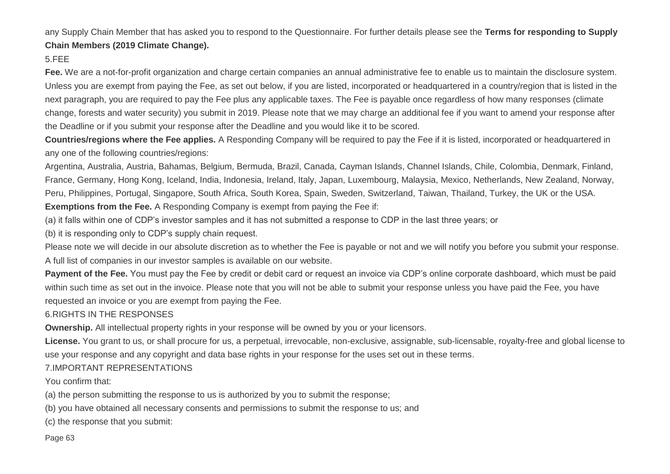any Supply Chain Member that has asked you to respond to the Questionnaire. For further details please see the **Terms for responding to Supply Chain Members (2019 Climate Change).**

#### 5.FEE

**Fee.** We are a not-for-profit organization and charge certain companies an annual administrative fee to enable us to maintain the disclosure system. Unless you are exempt from paying the Fee, as set out below, if you are listed, incorporated or headquartered in a country/region that is listed in the next paragraph, you are required to pay the Fee plus any applicable taxes. The Fee is payable once regardless of how many responses (climate change, forests and water security) you submit in 2019. Please note that we may charge an additional fee if you want to amend your response after the Deadline or if you submit your response after the Deadline and you would like it to be scored.

**Countries/regions where the Fee applies.** A Responding Company will be required to pay the Fee if it is listed, incorporated or headquartered in any one of the following countries/regions:

Argentina, Australia, Austria, Bahamas, Belgium, Bermuda, Brazil, Canada, Cayman Islands, Channel Islands, Chile, Colombia, Denmark, Finland, France, Germany, Hong Kong, Iceland, India, Indonesia, Ireland, Italy, Japan, Luxembourg, Malaysia, Mexico, Netherlands, New Zealand, Norway, Peru, Philippines, Portugal, Singapore, South Africa, South Korea, Spain, Sweden, Switzerland, Taiwan, Thailand, Turkey, the UK or the USA. **Exemptions from the Fee.** A Responding Company is exempt from paying the Fee if:

(a) it falls within one of CDP's investor samples and it has not submitted a response to CDP in the last three years; or

(b) it is responding only to CDP's supply chain request.

Please note we will decide in our absolute discretion as to whether the Fee is payable or not and we will notify you before you submit your response. A full list of companies in our investor samples is available on our website.

**Payment of the Fee.** You must pay the Fee by credit or debit card or request an invoice via CDP's online corporate dashboard, which must be paid within such time as set out in the invoice. Please note that you will not be able to submit your response unless you have paid the Fee, you have requested an invoice or you are exempt from paying the Fee.

#### 6.RIGHTS IN THE RESPONSES

**Ownership.** All intellectual property rights in your response will be owned by you or your licensors.

**License.** You grant to us, or shall procure for us, a perpetual, irrevocable, non-exclusive, assignable, sub-licensable, royalty-free and global license to use your response and any copyright and data base rights in your response for the uses set out in these terms.

#### 7.IMPORTANT REPRESENTATIONS

You confirm that:

(a) the person submitting the response to us is authorized by you to submit the response;

(b) you have obtained all necessary consents and permissions to submit the response to us; and

(c) the response that you submit: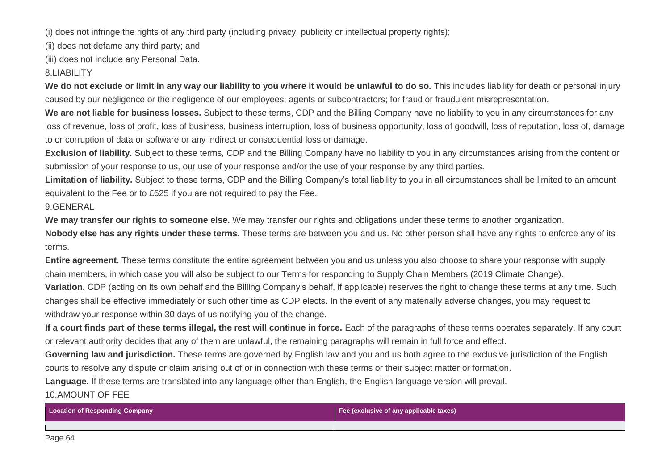(i) does not infringe the rights of any third party (including privacy, publicity or intellectual property rights);

(ii) does not defame any third party; and

(iii) does not include any Personal Data.

#### 8.LIABILITY

We do not exclude or limit in any way our liability to you where it would be unlawful to do so. This includes liability for death or personal injury caused by our negligence or the negligence of our employees, agents or subcontractors; for fraud or fraudulent misrepresentation.

**We are not liable for business losses.** Subject to these terms, CDP and the Billing Company have no liability to you in any circumstances for any loss of revenue, loss of profit, loss of business, business interruption, loss of business opportunity, loss of goodwill, loss of reputation, loss of, damage to or corruption of data or software or any indirect or consequential loss or damage.

**Exclusion of liability.** Subject to these terms, CDP and the Billing Company have no liability to you in any circumstances arising from the content or submission of your response to us, our use of your response and/or the use of your response by any third parties.

**Limitation of liability.** Subject to these terms, CDP and the Billing Company's total liability to you in all circumstances shall be limited to an amount equivalent to the Fee or to £625 if you are not required to pay the Fee.

#### 9.GENERAL

**We may transfer our rights to someone else.** We may transfer our rights and obligations under these terms to another organization.

**Nobody else has any rights under these terms.** These terms are between you and us. No other person shall have any rights to enforce any of its terms.

**Entire agreement.** These terms constitute the entire agreement between you and us unless you also choose to share your response with supply chain members, in which case you will also be subject to our Terms for responding to Supply Chain Members (2019 Climate Change). **Variation.** CDP (acting on its own behalf and the Billing Company's behalf, if applicable) reserves the right to change these terms at any time. Such

changes shall be effective immediately or such other time as CDP elects. In the event of any materially adverse changes, you may request to withdraw your response within 30 days of us notifying you of the change.

**If a court finds part of these terms illegal, the rest will continue in force.** Each of the paragraphs of these terms operates separately. If any court or relevant authority decides that any of them are unlawful, the remaining paragraphs will remain in full force and effect.

**Governing law and jurisdiction.** These terms are governed by English law and you and us both agree to the exclusive jurisdiction of the English courts to resolve any dispute or claim arising out of or in connection with these terms or their subject matter or formation.

**Language.** If these terms are translated into any language other than English, the English language version will prevail.

#### 10.AMOUNT OF FEE

| <b>Location of Responding Company</b> | Fee (exclusive of any applicable taxes) |
|---------------------------------------|-----------------------------------------|
|                                       |                                         |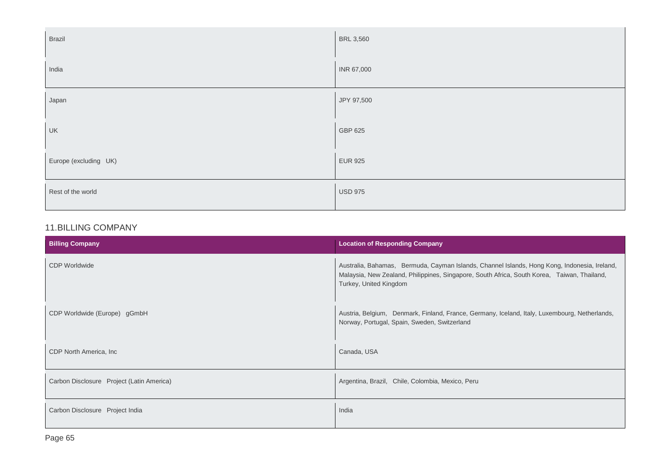| <b>Brazil</b>         | <b>BRL 3,560</b> |
|-----------------------|------------------|
| India                 | INR 67,000       |
| Japan                 | JPY 97,500       |
| UK                    | GBP 625          |
| Europe (excluding UK) | <b>EUR 925</b>   |
| Rest of the world     | <b>USD 975</b>   |

#### 11.BILLING COMPANY

| <b>Billing Company</b>                    | <b>Location of Responding Company</b>                                                                                                                                                                                 |
|-------------------------------------------|-----------------------------------------------------------------------------------------------------------------------------------------------------------------------------------------------------------------------|
| <b>CDP Worldwide</b>                      | Australia, Bahamas, Bermuda, Cayman Islands, Channel Islands, Hong Kong, Indonesia, Ireland,<br>Malaysia, New Zealand, Philippines, Singapore, South Africa, South Korea, Taiwan, Thailand,<br>Turkey, United Kingdom |
| CDP Worldwide (Europe) gGmbH              | Austria, Belgium, Denmark, Finland, France, Germany, Iceland, Italy, Luxembourg, Netherlands,<br>Norway, Portugal, Spain, Sweden, Switzerland                                                                         |
| CDP North America, Inc.                   | Canada, USA                                                                                                                                                                                                           |
| Carbon Disclosure Project (Latin America) | Argentina, Brazil, Chile, Colombia, Mexico, Peru                                                                                                                                                                      |
| Carbon Disclosure Project India           | India                                                                                                                                                                                                                 |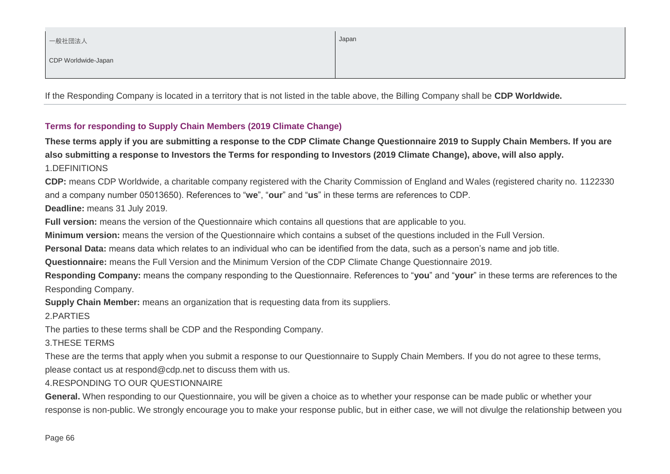| 一般社団法人              | Japan |
|---------------------|-------|
| CDP Worldwide-Japan |       |

If the Responding Company is located in a territory that is not listed in the table above, the Billing Company shall be **CDP Worldwide.**

#### **Terms for responding to Supply Chain Members (2019 Climate Change)**

**These terms apply if you are submitting a response to the CDP Climate Change Questionnaire 2019 to Supply Chain Members. If you are also submitting a response to Investors the Terms for responding to Investors (2019 Climate Change), above, will also apply.** 1.DEFINITIONS

**CDP:** means CDP Worldwide, a charitable company registered with the Charity Commission of England and Wales (registered charity no. 1122330 and a company number 05013650). References to "**we**", "**our**" and "**us**" in these terms are references to CDP.

**Deadline:** means 31 July 2019.

**Full version:** means the version of the Questionnaire which contains all questions that are applicable to you.

**Minimum version:** means the version of the Questionnaire which contains a subset of the questions included in the Full Version.

**Personal Data:** means data which relates to an individual who can be identified from the data, such as a person's name and job title.

**Questionnaire:** means the Full Version and the Minimum Version of the CDP Climate Change Questionnaire 2019.

**Responding Company:** means the company responding to the Questionnaire. References to "**you**" and "**your**" in these terms are references to the Responding Company.

**Supply Chain Member:** means an organization that is requesting data from its suppliers.

2.PARTIES

The parties to these terms shall be CDP and the Responding Company.

3.THESE TERMS

These are the terms that apply when you submit a response to our Questionnaire to Supply Chain Members. If you do not agree to these terms, please contact us at respond@cdp.net to discuss them with us.

#### 4.RESPONDING TO OUR QUESTIONNAIRE

**General.** When responding to our Questionnaire, you will be given a choice as to whether your response can be made public or whether your response is non-public. We strongly encourage you to make your response public, but in either case, we will not divulge the relationship between you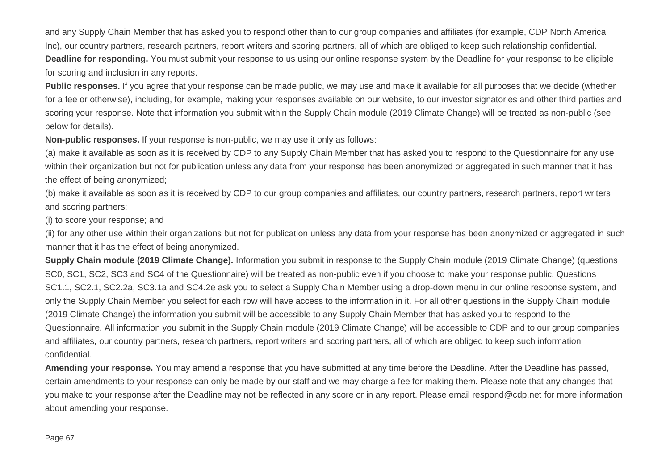and any Supply Chain Member that has asked you to respond other than to our group companies and affiliates (for example, CDP North America, Inc), our country partners, research partners, report writers and scoring partners, all of which are obliged to keep such relationship confidential. **Deadline for responding.** You must submit your response to us using our online response system by the Deadline for your response to be eligible for scoring and inclusion in any reports.

**Public responses.** If you agree that your response can be made public, we may use and make it available for all purposes that we decide (whether for a fee or otherwise), including, for example, making your responses available on our website, to our investor signatories and other third parties and scoring your response. Note that information you submit within the Supply Chain module (2019 Climate Change) will be treated as non-public (see below for details).

**Non-public responses.** If your response is non-public, we may use it only as follows:

(a) make it available as soon as it is received by CDP to any Supply Chain Member that has asked you to respond to the Questionnaire for any use within their organization but not for publication unless any data from your response has been anonymized or aggregated in such manner that it has the effect of being anonymized;

(b) make it available as soon as it is received by CDP to our group companies and affiliates, our country partners, research partners, report writers and scoring partners:

(i) to score your response; and

(ii) for any other use within their organizations but not for publication unless any data from your response has been anonymized or aggregated in such manner that it has the effect of being anonymized.

**Supply Chain module (2019 Climate Change).** Information you submit in response to the Supply Chain module (2019 Climate Change) (questions SC0, SC1, SC2, SC3 and SC4 of the Questionnaire) will be treated as non-public even if you choose to make your response public. Questions SC1.1, SC2.1, SC2.2a, SC3.1a and SC4.2e ask you to select a Supply Chain Member using a drop-down menu in our online response system, and only the Supply Chain Member you select for each row will have access to the information in it. For all other questions in the Supply Chain module (2019 Climate Change) the information you submit will be accessible to any Supply Chain Member that has asked you to respond to the Questionnaire. All information you submit in the Supply Chain module (2019 Climate Change) will be accessible to CDP and to our group companies and affiliates, our country partners, research partners, report writers and scoring partners, all of which are obliged to keep such information confidential.

**Amending your response.** You may amend a response that you have submitted at any time before the Deadline. After the Deadline has passed, certain amendments to your response can only be made by our staff and we may charge a fee for making them. Please note that any changes that you make to your response after the Deadline may not be reflected in any score or in any report. Please email respond@cdp.net for more information about amending your response.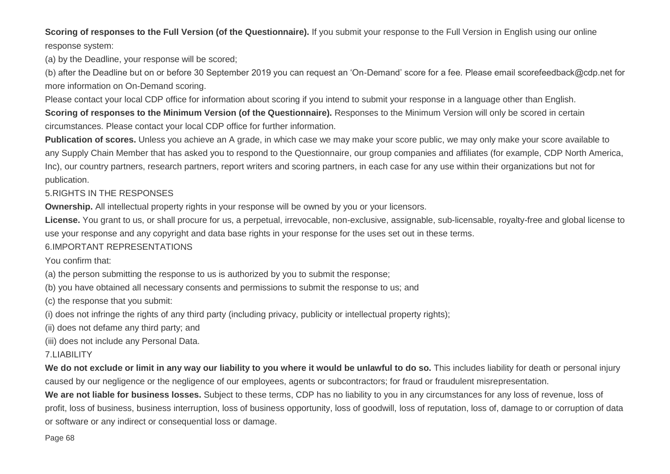#### **Scoring of responses to the Full Version (of the Questionnaire).** If you submit your response to the Full Version in English using our online response system:

(a) by the Deadline, your response will be scored;

(b) after the Deadline but on or before 30 September 2019 you can request an 'On-Demand' score for a fee. Please email scorefeedback@cdp.net for more information on On-Demand scoring.

Please contact your local CDP office for information about scoring if you intend to submit your response in a language other than English.

**Scoring of responses to the Minimum Version (of the Questionnaire).** Responses to the Minimum Version will only be scored in certain circumstances. Please contact your local CDP office for further information.

**Publication of scores.** Unless you achieve an A grade, in which case we may make your score public, we may only make your score available to any Supply Chain Member that has asked you to respond to the Questionnaire, our group companies and affiliates (for example, CDP North America, Inc), our country partners, research partners, report writers and scoring partners, in each case for any use within their organizations but not for publication.

#### 5.RIGHTS IN THE RESPONSES

**Ownership.** All intellectual property rights in your response will be owned by you or your licensors.

**License.** You grant to us, or shall procure for us, a perpetual, irrevocable, non-exclusive, assignable, sub-licensable, royalty-free and global license to use your response and any copyright and data base rights in your response for the uses set out in these terms.

#### 6.IMPORTANT REPRESENTATIONS

You confirm that:

(a) the person submitting the response to us is authorized by you to submit the response;

(b) you have obtained all necessary consents and permissions to submit the response to us; and

(c) the response that you submit:

(i) does not infringe the rights of any third party (including privacy, publicity or intellectual property rights);

(ii) does not defame any third party; and

(iii) does not include any Personal Data.

#### 7.LIABILITY

**We do not exclude or limit in any way our liability to you where it would be unlawful to do so.** This includes liability for death or personal injury caused by our negligence or the negligence of our employees, agents or subcontractors; for fraud or fraudulent misrepresentation.

**We are not liable for business losses.** Subject to these terms, CDP has no liability to you in any circumstances for any loss of revenue, loss of profit, loss of business, business interruption, loss of business opportunity, loss of goodwill, loss of reputation, loss of, damage to or corruption of data or software or any indirect or consequential loss or damage.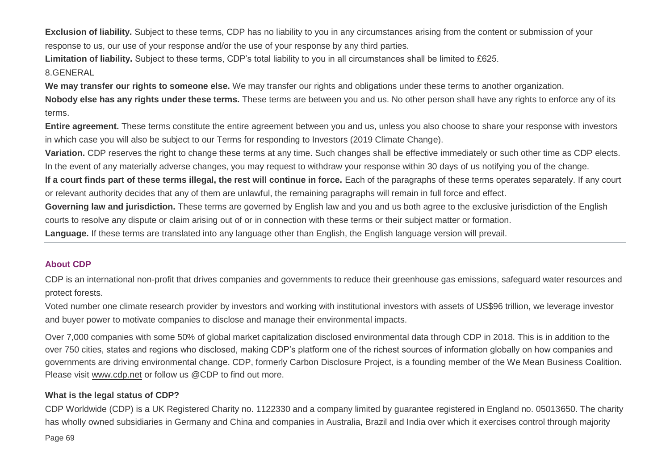**Exclusion of liability.** Subject to these terms, CDP has no liability to you in any circumstances arising from the content or submission of your response to us, our use of your response and/or the use of your response by any third parties.

**Limitation of liability.** Subject to these terms, CDP's total liability to you in all circumstances shall be limited to £625.

#### 8.GENERAL

**We may transfer our rights to someone else.** We may transfer our rights and obligations under these terms to another organization.

**Nobody else has any rights under these terms.** These terms are between you and us. No other person shall have any rights to enforce any of its terms.

**Entire agreement.** These terms constitute the entire agreement between you and us, unless you also choose to share your response with investors in which case you will also be subject to our Terms for responding to Investors (2019 Climate Change).

**Variation.** CDP reserves the right to change these terms at any time. Such changes shall be effective immediately or such other time as CDP elects.

In the event of any materially adverse changes, you may request to withdraw your response within 30 days of us notifying you of the change.

**If a court finds part of these terms illegal, the rest will continue in force.** Each of the paragraphs of these terms operates separately. If any court or relevant authority decides that any of them are unlawful, the remaining paragraphs will remain in full force and effect.

Governing law and jurisdiction. These terms are governed by English law and you and us both agree to the exclusive jurisdiction of the English

courts to resolve any dispute or claim arising out of or in connection with these terms or their subject matter or formation.

**Language.** If these terms are translated into any language other than English, the English language version will prevail.

#### **About CDP**

CDP is an international non-profit that drives companies and governments to reduce their greenhouse gas emissions, safeguard water resources and protect forests.

Voted number one climate research provider by investors and working with institutional investors with assets of US\$96 trillion, we leverage investor and buyer power to motivate companies to disclose and manage their environmental impacts.

Over 7,000 companies with some 50% of global market capitalization disclosed environmental data through CDP in 2018. This is in addition to the over 750 cities, states and regions who disclosed, making CDP's platform one of the richest sources of information globally on how companies and governments are driving environmental change. CDP, formerly Carbon Disclosure Project, is a founding member of the We Mean Business Coalition. Please visit [www.cdp.net](http://www.cdp.net/) or follow us @CDP to find out more.

## **What is the legal status of CDP?**

Page 69 CDP Worldwide (CDP) is a UK Registered Charity no. 1122330 and a company limited by guarantee registered in England no. 05013650. The charity has wholly owned subsidiaries in Germany and China and companies in Australia, Brazil and India over which it exercises control through majority